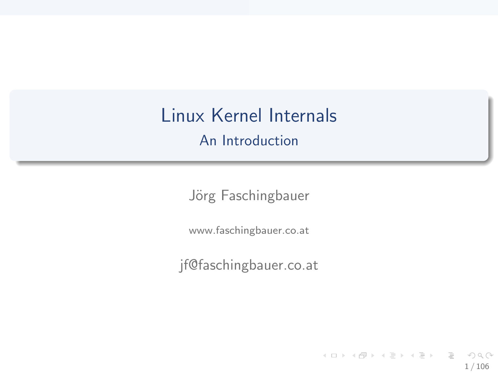# Linux Kernel Internals

An Introduction

Jörg Faschingbauer

www.faschingbauer.co.at

jf@faschingbauer.co.at

イロト イ押 トイモト イモト 一番  $\circledcirc \circledcirc \circledcirc$ 1 / 106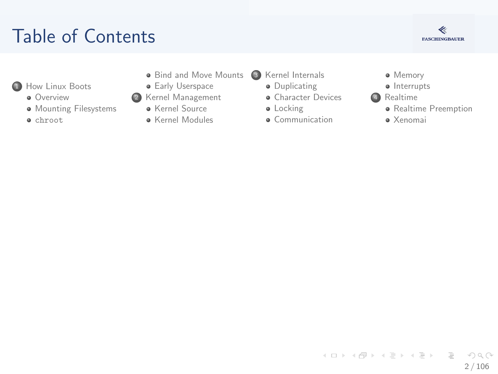## T[able of Content](#page-2-0)s



- **1**How Linux Boots
	- **Overview**
	- **M[ounting Filesys](#page-14-0)tems**
	- chroot
- Bind and Move Mounts <sup>3</sup> [Kernel Internals](#page-29-0)
- **•** Early Userspace
- <sup>2</sup> [Kernel Man](#page-7-0)agement
	- Kernel Source
	- **A** Kernel Modules
- - **·** Duplicating
	- **•** [Character Device](#page-30-0)s
	- **·** [Locking](#page-34-0)
	- **a** Communication
- **·** Memory
- · Interrupts
- 4 Realtime
	- **•** Realtime Pre[emption](#page-75-0)
	- Xenomai

イロト イ部 トイモト イモト  $\equiv$  $OQ$ 2 / 106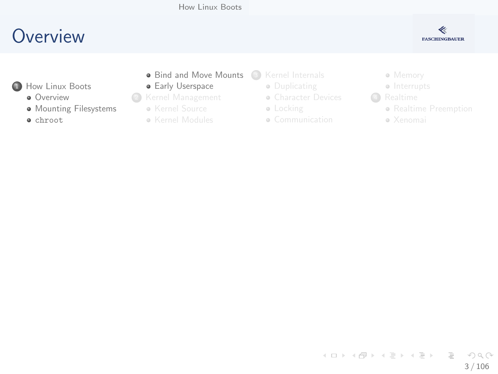

- <span id="page-2-0"></span>**1**How Linux Boots
	- **Overview**
	- **·** M[ounting Filesys](#page-14-0)tems
	- chroot
- Bind and Move Mounts (3) [Kernel Internals](#page-29-0)
- **•** Early Userspace
- <sup>2</sup> [Kernel Man](#page-7-0)agement
	- Kernel Source
	- **Kernel Modules**
- - **·** Duplicating
	- **[Character Device](#page-30-0)s**
	- **·** [Locking](#page-34-0)
	- Communication
- Memory
- Interrupts
- **4** Realtime
	- Realtime Pre[emption](#page-75-0)
	- Xenomai

イロト イ部 トイヨ トイヨト  $\equiv$  $\circledcirc \circledcirc \circledcirc$ 3 / 106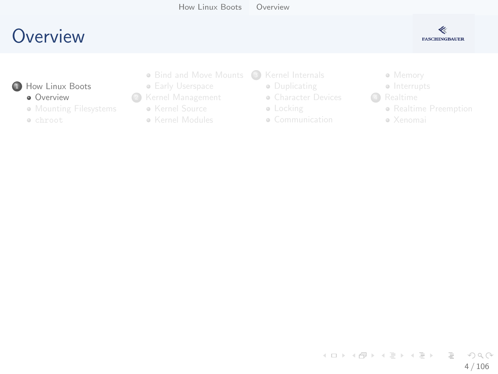<span id="page-3-0"></span>**1**How Linux Boots **Overview • M[ounting Filesys](#page-14-0)tems** 

chroot



- **Early Userspace**
- <sup>2</sup> [Kernel Man](#page-7-0)agement
	- Kernel Source
	- **Kernel Modules**
- - **·** Duplicating
	- **[Character Device](#page-30-0)s**
	- **·** [Locking](#page-34-0)
	- Communication
- Memory
- Interrupts
- **4** Realtime
	- Realtime Pre[emption](#page-75-0)

≪ **FASCHINGBAUER** 

Xenomai

イロト イ部 トイモト イモト  $\equiv$  $\circledcirc \circledcirc \circledcirc$ 4 / 106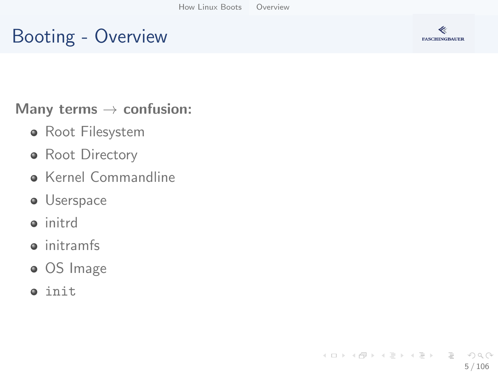## Booting - Overview



Many terms  $\rightarrow$  confusion:

- Root Filesystem
- Root Directory
- **Kernel Commandline**
- **·** Userspace
- **o** initrd
- **o** initramfs
- OS Image
- $\bullet$  init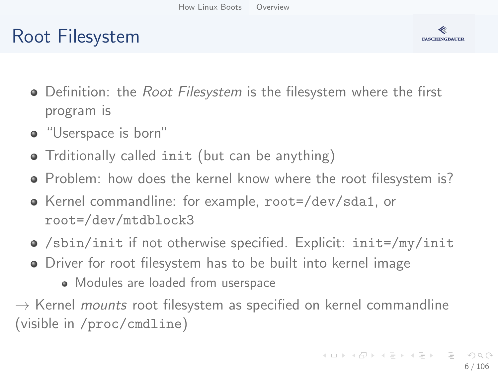## Root Filesystem



- Definition: the *Root Filesystem* is the filesystem where the first program is
- "Userspace is born"
- Trditionally called init (but can be anything)
- Problem: how does the kernel know where the root filesystem is?
- Kernel commandline: for example, root=/dev/sda1, or root=/dev/mtdblock3
- /sbin/init if not otherwise specified. Explicit: init=/my/init
- Driver for root filesystem has to be built into kernel image
	- Modules are loaded from userspace

 $\rightarrow$  Kernel *mounts* root filesystem as specified on kernel commandline (visible in /proc/cmdline)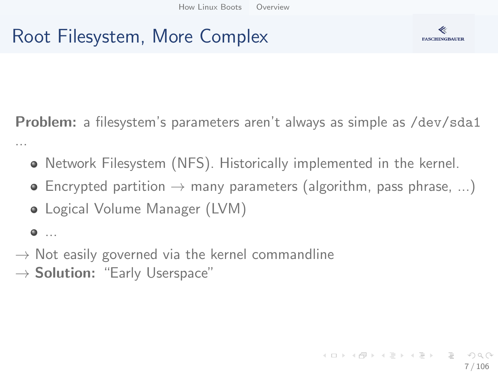## Root Filesystem, More Complex



Problem: a filesystem's parameters aren't always as simple as /dev/sda1 ...

- Network Filesystem (NFS). Historically implemented in the kernel.
- $\bullet$  Encrypted partition  $\rightarrow$  many parameters (algorithm, pass phrase, ...)
- Logical Volume Manager (LVM)

 $\bullet$  ...

- $\rightarrow$  Not easily governed via the kernel commandline
- $\rightarrow$  Solution: "Early Userspace"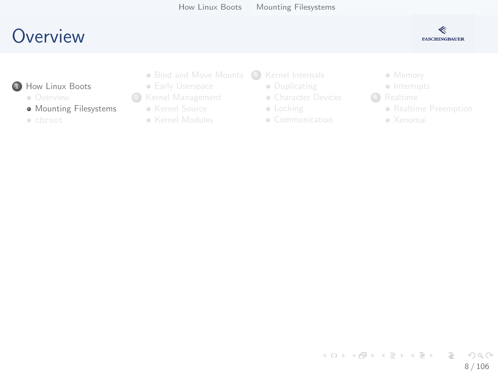

<span id="page-7-0"></span>**1**How Linux Boots

**o** Overview

**• M[ounting Filesys](#page-14-0)tems** 

chroot

- Bind and Move Mounts (3) [Kernel Internals](#page-29-0)
- **Early Userspace**
- <sup>2</sup> [Kernel Man](#page-7-0)agement
	- Kernel Source
	- **Kernel Modules**
- - **·** Duplicating
	- **[Character Device](#page-30-0)s**
	- **·** [Locking](#page-34-0)
	- Communication
- Memory
- Interrupts
- 4 Realtime
	- Realtime Pre[emption](#page-75-0)
	- Xenomai

イロト イ部 トイヨ トイヨト  $\equiv$  $OQ$ 8 / 106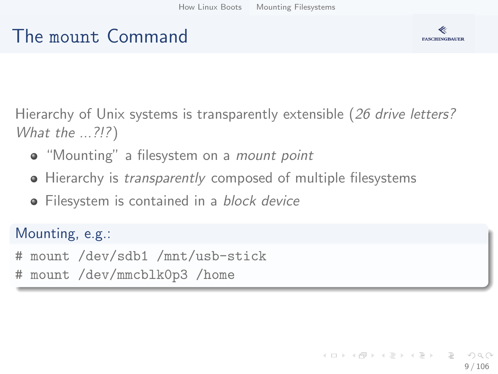#### The mount Command



Hierarchy of Unix systems is transparently extensible (26 drive letters? What the ...?!?)

- "Mounting" a filesystem on a *mount point*
- Hierarchy is *transparently* composed of multiple filesystems
- Filesystem is contained in a block device

Mounting, e.g.:

# mount /dev/sdb1 /mnt/usb-stick

# mount /dev/mmcblk0p3 /home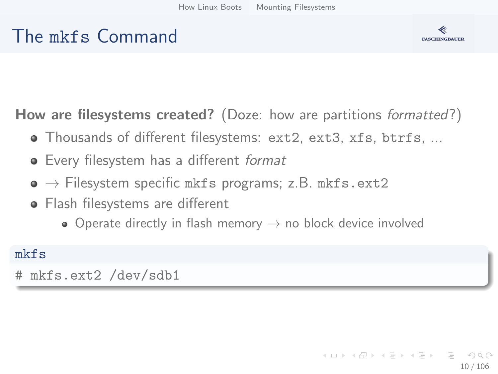#### The mkfs Command



How are filesystems created? (Doze: how are partitions *formatted*?)

- Thousands of different filesystems: ext2, ext3, xfs, btrfs, ...
- **•** Every filesystem has a different format
- $\bullet \rightarrow$  Filesystem specific mkfs programs; z.B. mkfs.ext2
- Flash filesystems are different
	- Operate directly in flash memory  $\rightarrow$  no block device involved

#### mkfs

# mkfs.ext2 /dev/sdb1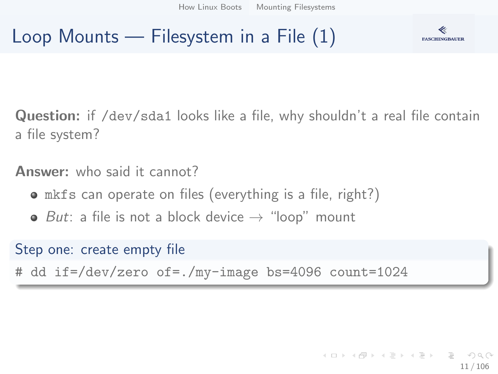## Loop Mounts — Filesystem in a File (1)



Question: if /dev/sda1 looks like a file, why shouldn't a real file contain a file system?

Answer: who said it cannot?

- mkfs can operate on files (everything is a file, right?)
- But: a file is not a block device  $\rightarrow$  "loop" mount

Step one: create empty file

# dd if=/dev/zero of=./my-image bs=4096 count=1024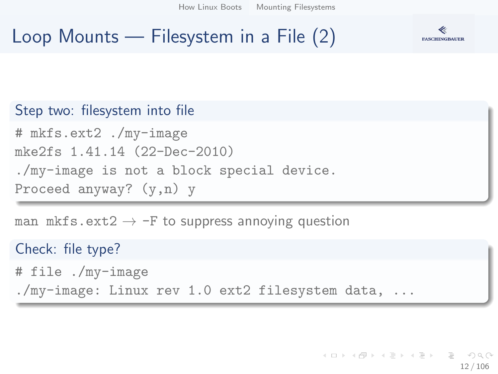[How Linux Boots](#page-2-0) [Mounting Filesystems](#page-7-0)

## Loop Mounts — Filesystem in a File (2)



#### Step two: filesystem into file # mkfs.ext2 ./my-image mke2fs 1.41.14 (22-Dec-2010) ./my-image is not a block special device. Proceed anyway? (y,n) y

man mkfs.ext2  $\rightarrow$  -F to suppress annoying question

Check: file type? # file ./my-image ./my-image: Linux rev 1.0 ext2 filesystem data, ...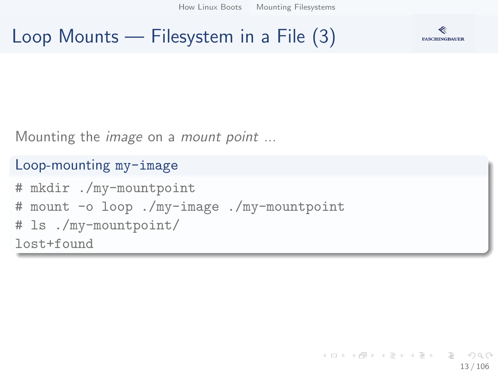[How Linux Boots](#page-2-0) [Mounting Filesystems](#page-7-0)

Loop Mounts — Filesystem in a File (3)



Mounting the *image* on a *mount point* ...

#### Loop-mounting my-image

# mkdir ./my-mountpoint # mount -o loop ./my-image ./my-mountpoint # ls ./my-mountpoint/ lost+found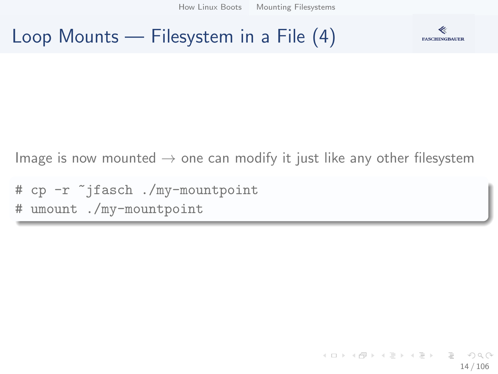[How Linux Boots](#page-2-0) [Mounting Filesystems](#page-7-0)

#### Loop Mounts — Filesystem in a File (4)



Image is now mounted  $\rightarrow$  one can modify it just like any other filesystem

# cp -r ~jfasch ./my-mountpoint # umount ./my-mountpoint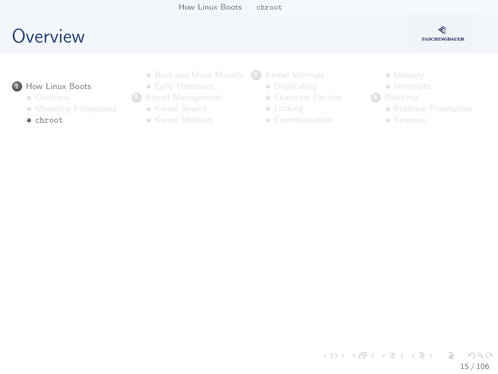

- <span id="page-14-0"></span>**1**How Linux Boots
	- **o** Overview
	- **M[ounting Filesys](#page-14-0)tems**
	- chroot
- Bind and Move Mounts (3) [Kernel Internals](#page-29-0)
- **Early Userspace**
- <sup>2</sup> [Kernel Man](#page-7-0)agement
	- Kernel Source
	- **Kernel Modules**
- - **·** Duplicating
	- **[Character Device](#page-30-0)s**
	- **·** [Locking](#page-34-0)
	- Communication
- Memory
- Interrupts
- **4** Realtime
	- Realtime Pre[emption](#page-75-0)
	- Xenomai

イロト イ部 トイヨ トイヨト  $\equiv$   $\curvearrowleft$  a  $\curvearrowright$ 15 / 106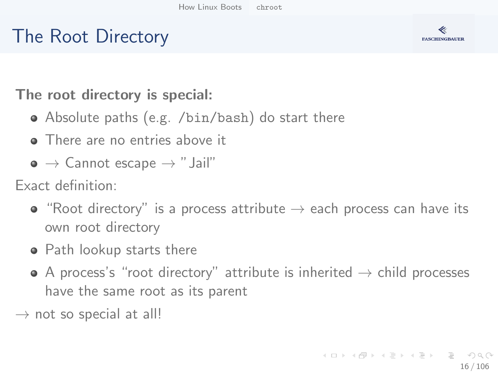## The Root Directory



The root directory is special:

- Absolute paths (e.g. /bin/bash) do start there
- There are no entries above it
- $\bullet \to \mathsf{C}$ annot escape  $\to$  "Jail"

Exact definition:

- "Root directory" is a process attribute  $\rightarrow$  each process can have its own root directory
- Path lookup starts there
- $\bullet$  A process's "root directory" attribute is inherited  $\rightarrow$  child processes have the same root as its parent

 $\rightarrow$  not so special at all!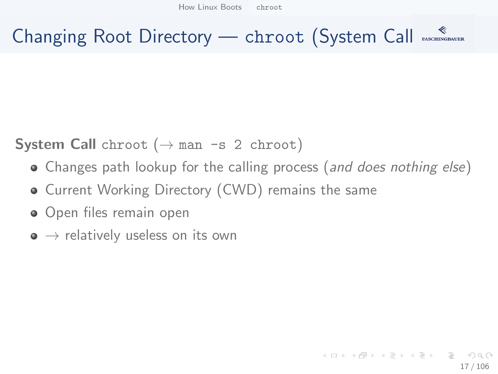## Changing Root Directory — chroot (System Call)

**System Call** chroot  $(\rightarrow$  man -s 2 chroot)

- Changes path lookup for the calling process (and does nothing else)
- **Current Working Directory (CWD) remains the same**
- **•** Open files remain open
- $\bullet \rightarrow$  relatively useless on its own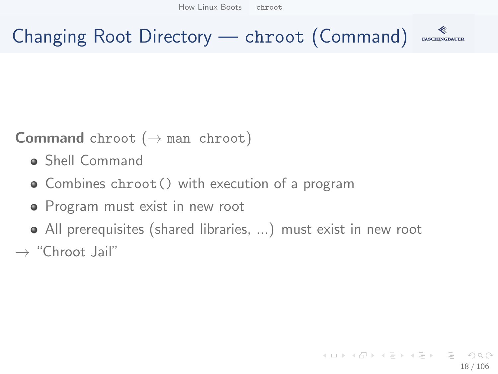## Changing Root Directory — chroot (Command)

#### **Command** chroot  $(\rightarrow$  man chroot)

- Shell Command
- Combines chroot() with execution of a program
- Program must exist in new root
- All prerequisites (shared libraries, ...) must exist in new root
- $\rightarrow$  "Chroot Jail"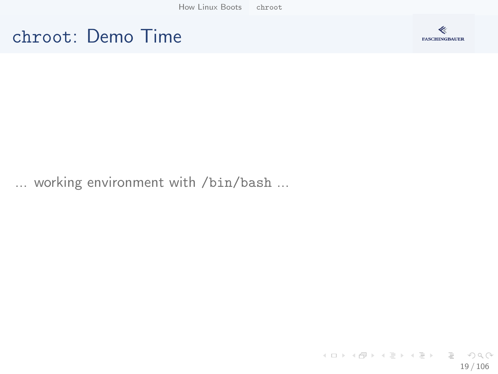[How Linux Boots](#page-2-0) [chroot](#page-14-0)





... working environment with /bin/bash ...

イロト イ団 トイミト イミト・ミニ りんぐ 19 / 106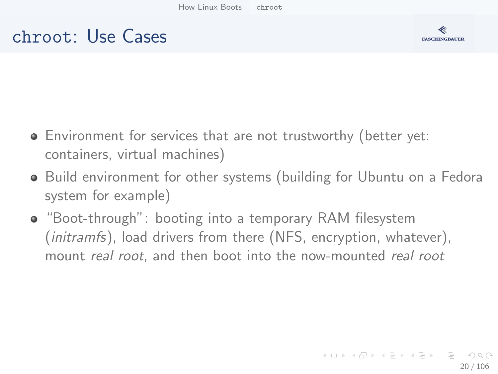#### chroot: Use Cases



- Environment for services that are not trustworthy (better yet: containers, virtual machines)
- Build environment for other systems (building for Ubuntu on a Fedora system for example)
- "Boot-through": booting into a temporary RAM filesystem (*initramfs*), load drivers from there (NFS, encryption, whatever), mount real root, and then boot into the now-mounted real root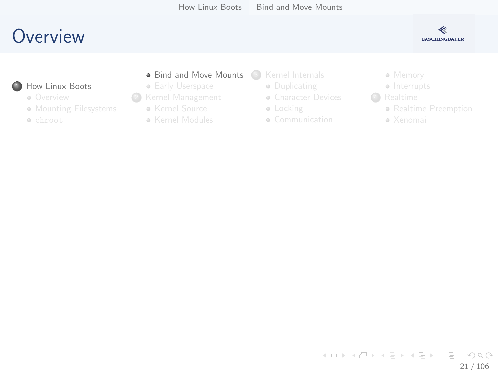

- <span id="page-20-0"></span>**1**How Linux Boots
	- **o** Overview
	- **M[ounting Filesys](#page-14-0)tems**
	- chroot
- Bind and Move Mounts (3) [Kernel Internals](#page-29-0)
- **Early Userspace**
- <sup>2</sup> [Kernel Man](#page-7-0)agement
	- Kernel Source
	- **Kernel Modules**
- - **·** Duplicating
	- **[Character Device](#page-30-0)s**
	- **·** [Locking](#page-34-0)
	- Communication
- Memory
- Interrupts
- 4 Realtime
	- Realtime Pre[emption](#page-75-0)
	- Xenomai

イロト イ部 トイヨ トイヨト  $\equiv$  $\eta$ a 21 / 106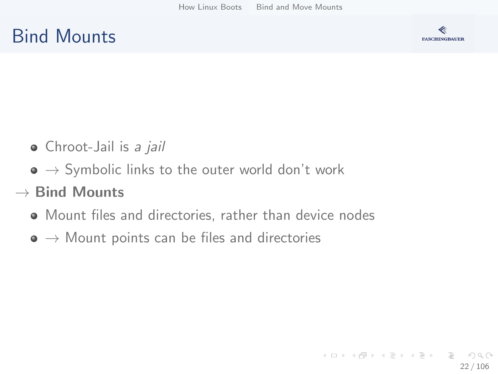## Bind Mounts



- Chroot-Jail is a jail
- $\bullet \rightarrow$  Symbolic links to the outer world don't work
- $\rightarrow$  Bind Mounts
	- Mount files and directories, rather than device nodes
	- $\bullet \rightarrow$  Mount points can be files and directories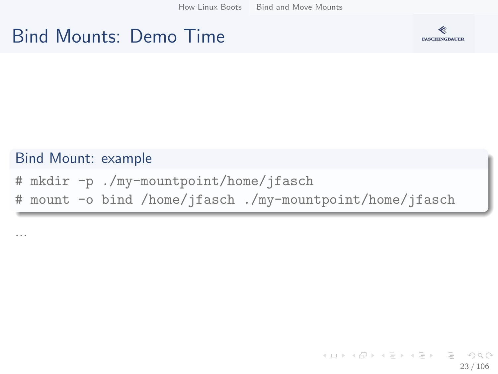[How Linux Boots](#page-2-0) [Bind and Move Mounts](#page-20-0)

#### Bind Mounts: Demo Time



#### Bind Mount: example

# mkdir -p ./my-mountpoint/home/jfasch # mount -o bind /home/jfasch ./my-mountpoint/home/jfasch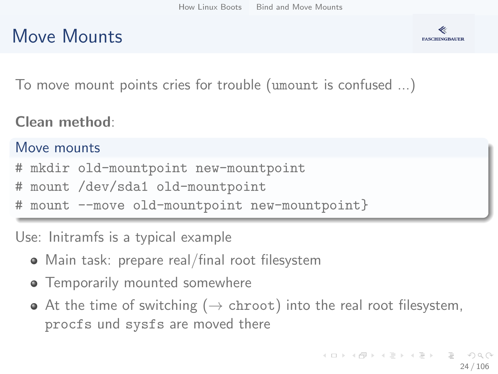### Move Mounts



To move mount points cries for trouble (umount is confused ...)

Clean method:

#### Move mounts

- mkdir old-mountpoint new-mountpoint
- mount /dev/sda1 old-mountpoint
- mount --move old-mountpoint new-mountpoint}

Use: Initramfs is a typical example

- Main task: prepare real/final root filesystem
- **•** Temporarily mounted somewhere
- $\bullet$  At the time of switching ( $\rightarrow$  chroot) into the real root filesystem, procfs und sysfs are moved there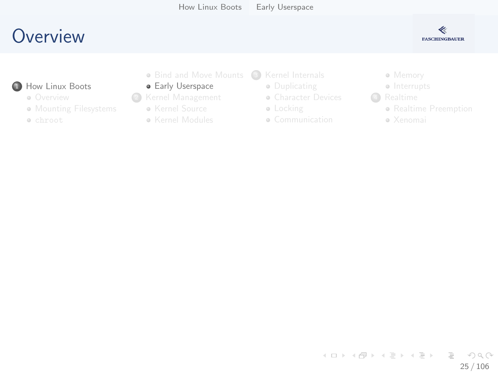

- <span id="page-24-0"></span>**1**How Linux Boots
	- **o** Overview
	- **M[ounting Filesys](#page-14-0)tems**
	- chroot
- Bind and Move Mounts (3) [Kernel Internals](#page-29-0)
- **•** Early Userspace
- <sup>2</sup> [Kernel Man](#page-7-0)agement
	- Kernel Source
	- **Kernel Modules**
- - **·** Duplicating
	- **[Character Device](#page-30-0)s**
	- **·** [Locking](#page-34-0)
	- Communication
- Memory
- Interrupts
- **4** Realtime
	- Realtime Pre[emption](#page-75-0)
	- Xenomai

イロト イ部 トイヨ トイヨト  $\equiv$  $OQ$ 25 / 106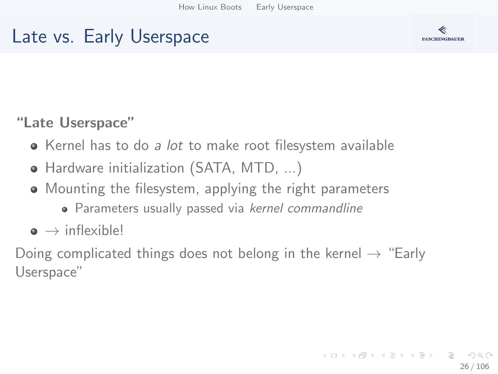#### Late vs. Early Userspace



#### "Late Userspace"

- Kernel has to do a lot to make root filesystem available
- Hardware initialization (SATA, MTD, ...)
- Mounting the filesystem, applying the right parameters
	- Parameters usually passed via kernel commandline
- $\bullet \rightarrow$  inflexible!

Doing complicated things does not belong in the kernel  $\rightarrow$  "Early Userspace"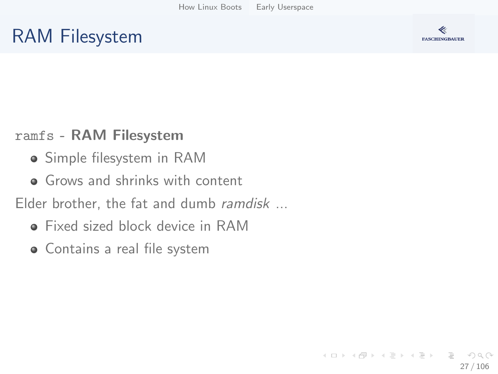### RAM Filesystem



#### ramfs - RAM Filesystem

- Simple filesystem in RAM
- **•** Grows and shrinks with content

Elder brother, the fat and dumb *ramdisk* ...

- Fixed sized block device in RAM
- **•** Contains a real file system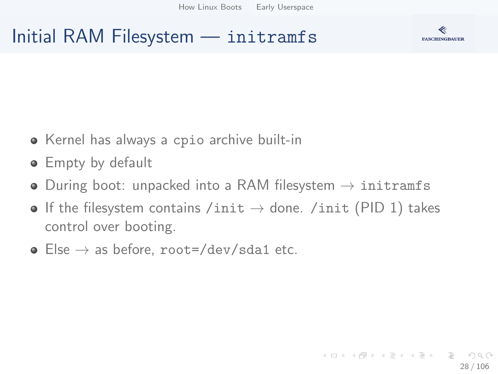



- Kernel has always a cpio archive built-in
- **Empty by default**
- During boot: unpacked into a RAM filesystem  $\rightarrow$  initramfs
- If the filesystem contains /init  $\rightarrow$  done. /init (PID 1) takes control over booting.
- Else  $\rightarrow$  as before, root=/dev/sda1 etc.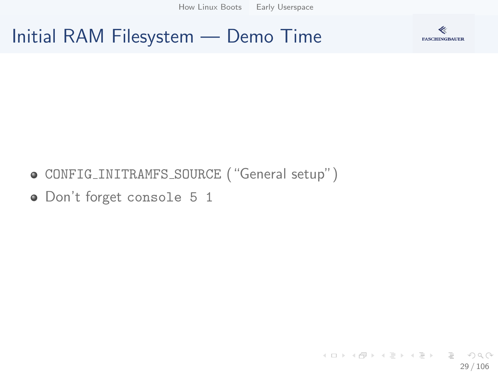[How Linux Boots](#page-2-0) [Early Userspace](#page-24-0)

#### Initial RAM Filesystem — Demo Time



- CONFIG INITRAMFS SOURCE ("General setup")
- Don't forget console 5 1

K ロ ▶ K 個 ▶ K ヨ ▶ K ヨ ▶ │ ヨ │ め 9,0 29 / 106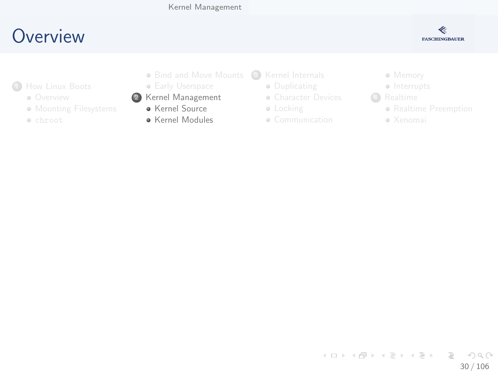

- <span id="page-29-0"></span>**1**How Linux Boots
	- **o** Overview
	- **M[ounting Filesys](#page-14-0)tems**
	- chroot
- Bind and Move Mounts (3) [Kernel Internals](#page-29-0)
- **Early Userspace**
- <sup>2</sup> [Kernel Man](#page-7-0)agement
	- **Kernel Source**
	- **A** Kernel Modules
- - **·** Duplicating
	- **[Character Device](#page-30-0)s**
	- **·** [Locking](#page-34-0)
	- Communication
- Memory
- Interrupts
- **4** Realtime
	- Realtime Pre[emption](#page-75-0)
	- Xenomai

イロト イ部 トイヨ トイヨト  $\equiv$  $\eta$ a 30 / 106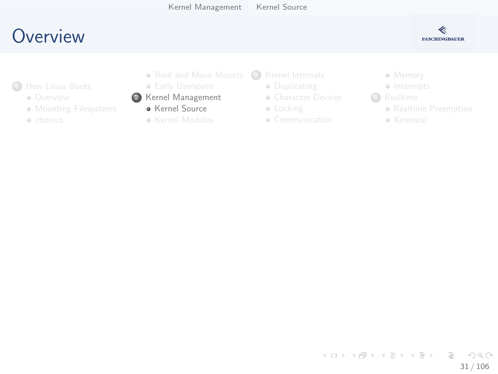

- <span id="page-30-0"></span>**1**How Linux Boots
	- **o** Overview
	- **M[ounting Filesys](#page-14-0)tems**
	- chroot
- Bind and Move Mounts (3) [Kernel Internals](#page-29-0)
- **Early Userspace**
- <sup>2</sup> [Kernel Man](#page-7-0)agement
	- **Kernel Source**
	- **Kernel Modules**
- - **·** Duplicating
	- **[Character Device](#page-30-0)s**
	- **·** [Locking](#page-34-0)
	- Communication
- Memory
- Interrupts
- **4** Realtime
	- Realtime Pre[emption](#page-75-0)
	- Xenomai

イロト イ部 トイヨ トイヨト  $\equiv$   $\curvearrowleft$  a  $\curvearrowright$ 31 / 106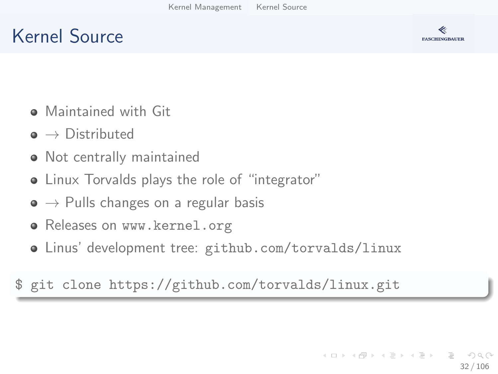## Kernel Source



- **•** Maintained with Git
- $\bullet \rightarrow$  Distributed
- Not centrally maintained
- Linux Torvalds plays the role of "integrator"
- $\bullet \rightarrow$  Pulls changes on a regular basis
- Releases on [www.kernel.org](https://www.kernel.org/)
- Linus' development tree: [github.com/torvalds/linux](https://github.com/torvalds/linux)

\$ git clone https://github.com/torvalds/linux.git

イロト イ押 トイヨ トイヨト 32 / 106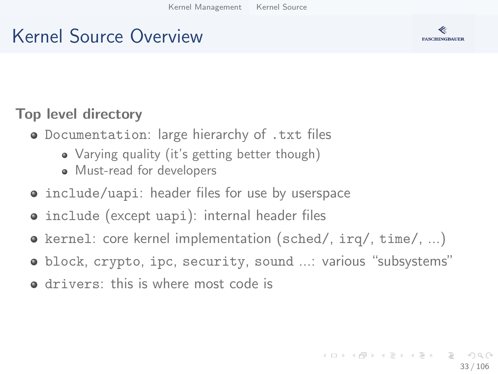## Kernel Source Overview



#### Top level directory

- Documentation: large hierarchy of .txt files
	- Varying quality (it's getting better though)
	- Must-read for developers
- include/uapi: header files for use by userspace
- include (except uapi): internal header files
- $\bullet$  kernel: core kernel implementation (sched/, irq/, time/, ...)
- block, crypto, ipc, security, sound ...: various "subsystems"
- drivers: this is where most code is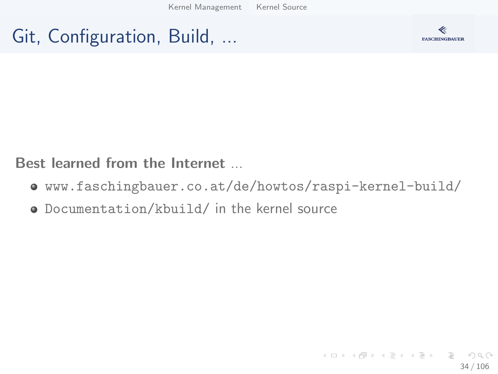[Kernel Management](#page-29-0) [Kernel Source](#page-30-0)

#### Git, Configuration, Build, ...



Best learned from the Internet ...

- [www.faschingbauer.co.at/de/howtos/raspi-kernel-build/](http://www.faschingbauer.co.at/de/howtos/raspi-kernel-build/)
- Documentation/kbuild/ in the kernel source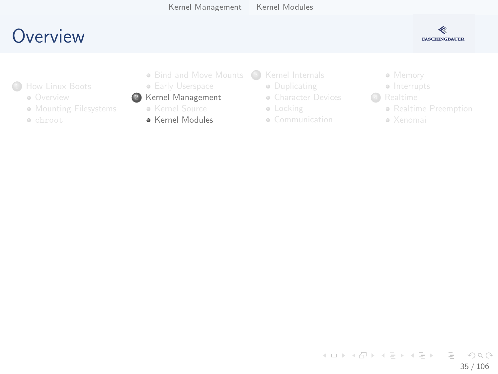

- <span id="page-34-0"></span><sup>1</sup>How Linux Boots
	- **o** Overview
	- **M[ounting Filesys](#page-14-0)tems**
	- chroot
- Bind and Move Mounts (3) [Kernel Internals](#page-29-0)
- **Early Userspace**

#### <sup>2</sup> [Kernel Man](#page-7-0)agement

- Kernel Source
- Kernel Modules
- - **·** Duplicating
	- **[Character Device](#page-30-0)s**
	- **·** [Locking](#page-34-0)
	- Communication
- Memory
- Interrupts
- **4** Realtime
	- Realtime Pre[emption](#page-75-0)
	- Xenomai

イロト イ部 トイヨ トイヨト  $\equiv$  $OQ$ 35 / 106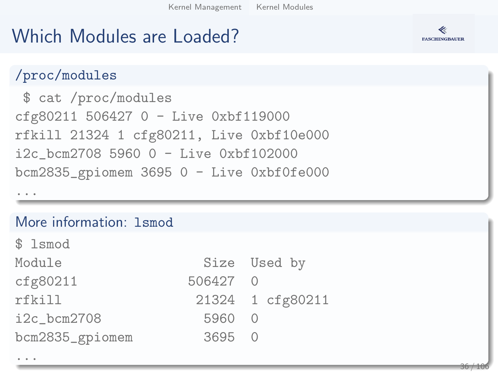## Which Modules are Loaded?



#### /proc/modules

\$ cat /proc/modules cfg80211 506427 0 - Live 0xbf119000 rfkill 21324 1 cfg80211, Live 0xbf10e000 i2c\_bcm2708 5960 0 - Live 0xbf102000 bcm2835\_gpiomem 3695 0 - Live 0xbf0fe000

...

...

#### More information: 1smod

\$ lsmod

| Module          |          | Size Used by     |
|-----------------|----------|------------------|
| cfg80211        | 506427 0 |                  |
| rfkill          |          | 21324 1 cfg80211 |
| $i2c_bcm2708$   | 5960 0   |                  |
| bcm2835_gpiomem | 3695 0   |                  |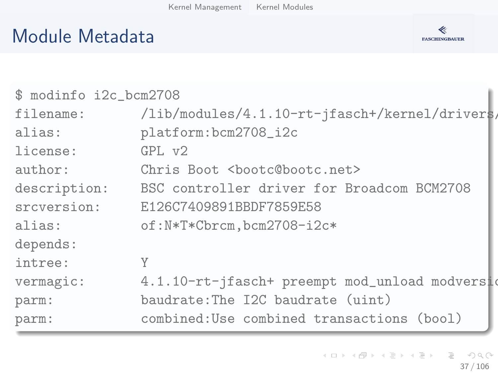## Module Metadata



| \$ modinfo i2c_bcm2708 |                                                |  |  |  |  |  |
|------------------------|------------------------------------------------|--|--|--|--|--|
| filename:              | /lib/modules/4.1.10-rt-jfasch+/kernel/drivers/ |  |  |  |  |  |
| alias:                 | platform:bcm2708_i2c                           |  |  |  |  |  |
| license:               | GPI. v2                                        |  |  |  |  |  |
| author:                | Chris Boot <bootc@bootc.net></bootc@bootc.net> |  |  |  |  |  |
| description:           | BSC controller driver for Broadcom BCM2708     |  |  |  |  |  |
| srcversion:            | E126C7409891BBDF7859E58                        |  |  |  |  |  |
| alias:                 | of:N*T*Cbrcm,bcm2708-i2c*                      |  |  |  |  |  |
| depends:               |                                                |  |  |  |  |  |
| intree:                | Y                                              |  |  |  |  |  |
| vermagic:              | 4.1.10-rt-jfasch+ preempt mod_unload modversid |  |  |  |  |  |
| parm:                  | baudrate: The I2C baudrate (uint)              |  |  |  |  |  |
| parm:                  | combined: Use combined transactions (bool)     |  |  |  |  |  |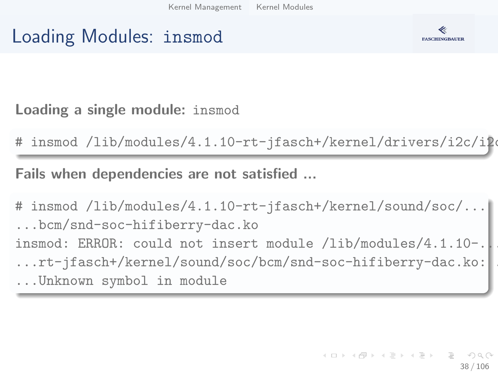### Loading Modules: insmod



Loading a single module: insmod

 $insmod$  /lib/modules/4.1.10-rt-jfasch+/kernel/drivers/i2c/i2e

Fails when dependencies are not satisfied ...

# insmod /lib/modules/4.1.10-rt-jfasch+/kernel/sound/soc/... ...bcm/snd-soc-hifiberry-dac.ko insmod: ERROR: could not insert module /lib/modules/4.1.10-. ...rt-jfasch+/kernel/sound/soc/bcm/snd-soc-hifiberry-dac.ko: ... ...Unknown symbol in module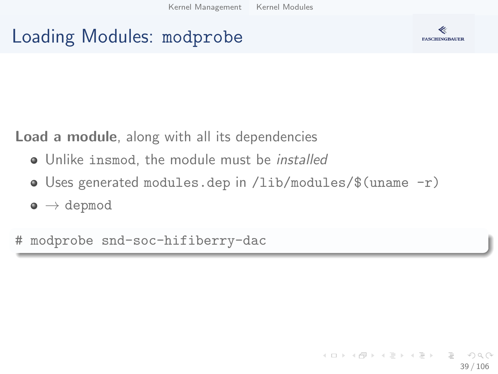## Loading Modules: modprobe



Load a module, along with all its dependencies

- Unlike insmod, the module must be *installed*
- Uses generated modules.dep in /lib/modules/\$(uname -r)
- $\bullet \to$  depmod

# modprobe snd-soc-hifiberry-dac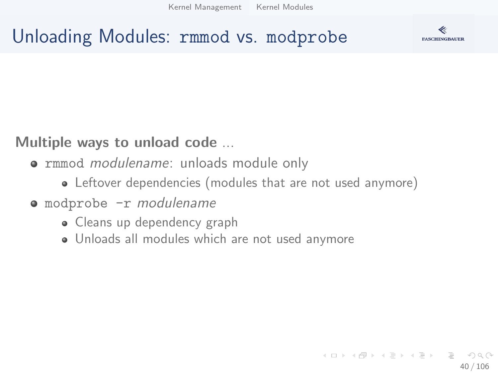## Unloading Modules: rmmod vs. modprobe



#### Multiple ways to unload code ...

- **rmmod modulename: unloads module only** 
	- Leftover dependencies (modules that are not used anymore)
- modprobe -r modulename
	- Cleans up dependency graph
	- Unloads all modules which are not used anymore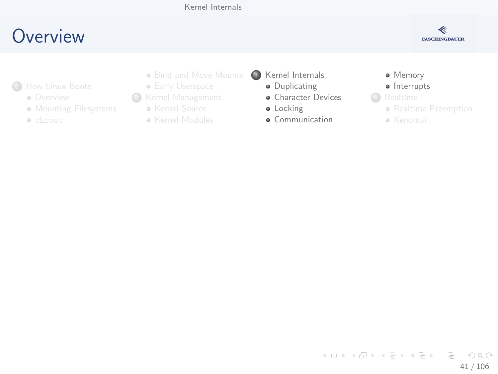## <span id="page-40-0"></span>**O[verview](#page-2-0)**



- **1**How Linux Boots
	- **o** Overview
	- **M[ounting Filesys](#page-14-0)tems**
	- chroot
- Bind and Move Mounts
- **Early Userspace**
- <sup>2</sup> [Kernel Man](#page-7-0)agement
	- Kernel Source
	- Kernel Modules
- <sup>3</sup> [Kernel Internals](#page-29-0)
	- **·** Duplicating
	- **•** [Character Device](#page-30-0)s
	- **·** [Locking](#page-34-0)
	- **·** Communication
- **·** Memory
- · Interrupts
- **4** Realtime
	- Realtime Pre[emption](#page-75-0)
	- Xenomai

イロト イ部 トイヨ トイヨト  $\equiv$   $\cap$   $\alpha$   $\sim$ 41 / 106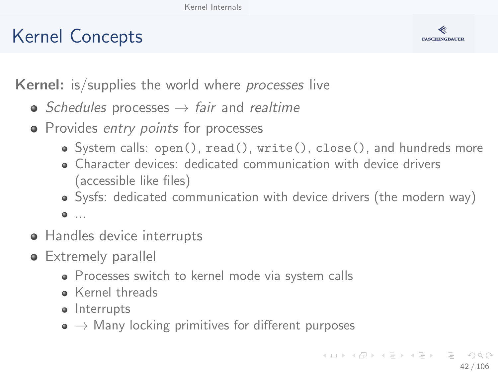# Kernel Concepts



**Kernel:** is/supplies the world where *processes* live

- Schedules processes  $\rightarrow$  fair and realtime
- Provides entry points for processes
	- System calls: open(), read(), write(), close(), and hundreds more
	- Character devices: dedicated communication with device drivers (accessible like files)
	- Sysfs: dedicated communication with device drivers (the modern way)

 $0.11$ 

- Handles device interrupts
- **•** Extremely parallel
	- Processes switch to kernel mode via system calls
	- **Kernel threads**
	- Interrupts
	- $\bullet \rightarrow$  Many locking primitives for different purposes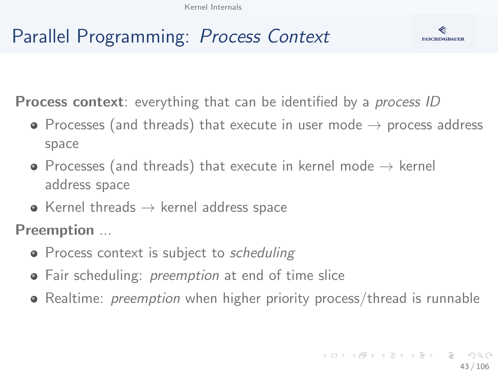# Parallel Programming: Process Context

**FASCHINGBAUER** 

**Process context**: everything that can be identified by a *process ID* 

- Processes (and threads) that execute in user mode  $\rightarrow$  process address space
- Processes (and threads) that execute in kernel mode  $\rightarrow$  kernel address space
- Kernel threads  $\rightarrow$  kernel address space

Preemption ...

- Process context is subject to *scheduling*
- Fair scheduling: *preemption* at end of time slice
- Realtime: *preemption* when higher priority process/thread is runnable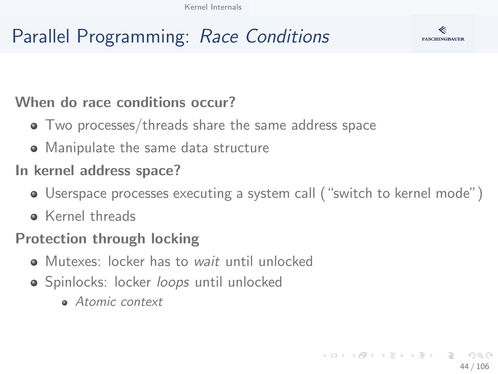# Parallel Programming: Race Conditions



#### When do race conditions occur?

- Two processes/threads share the same address space
- Manipulate the same data structure

#### In kernel address space?

- Userspace processes executing a system call ("switch to kernel mode")
- **A** Kernel threads

#### Protection through locking

- Mutexes: locker has to wait until unlocked
- **•** Spinlocks: locker *loops* until unlocked
	- **Atomic context**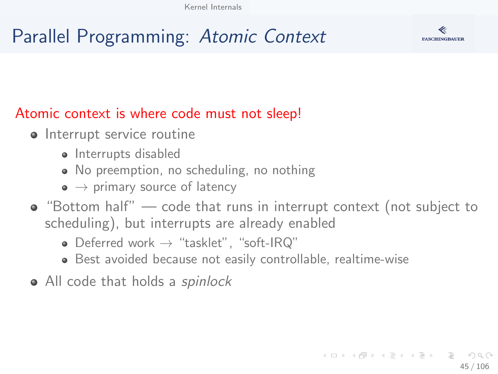# Parallel Programming: Atomic Context



#### Atomic context is where code must not sleep!

- Interrupt service routine
	- Interrupts disabled
	- No preemption, no scheduling, no nothing
	- $\bullet \rightarrow$  primary source of latency
- $\bullet$  "Bottom half" code that runs in interrupt context (not subject to scheduling), but interrupts are already enabled
	- Deferred work  $\rightarrow$  "tasklet", "soft-IRQ"
	- Best avoided because not easily controllable, realtime-wise
- All code that holds a *spinlock*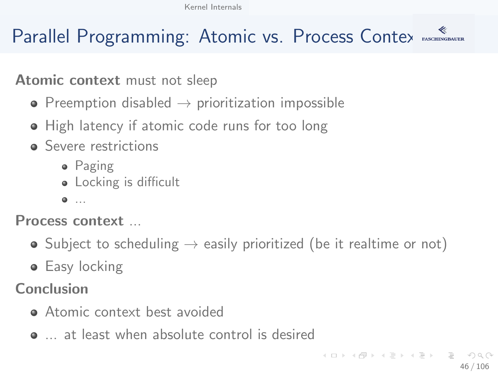# Parallel Programming: Atomic vs. Process Contex Asseminations

#### Atomic context must not sleep

- Preemption disabled  $\rightarrow$  prioritization impossible
- High latency if atomic code runs for too long
- **•** Severe restrictions
	- Paging
	- Locking is difficult
	- $\bullet$  ...

Process context ...

- Subject to scheduling  $\rightarrow$  easily prioritized (be it realtime or not)
- **•** Easy locking

Conclusion

- **Atomic context best avoided**
- at least when absolute control is desired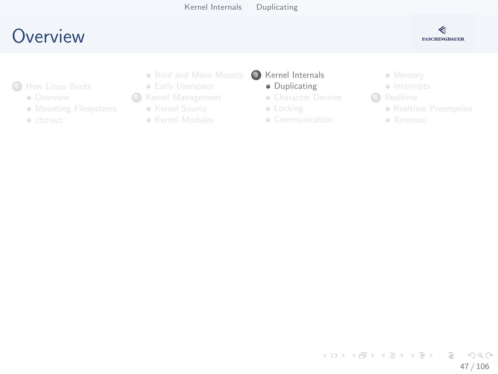# <span id="page-46-0"></span>**O[verview](#page-2-0)**



- <sup>1</sup>How Linux Boots
	- **o** Overview
	- **M[ounting Filesys](#page-14-0)tems**
	- chroot
- Bind and Move Mounts
- **Early Userspace**
- <sup>2</sup> [Kernel Man](#page-7-0)agement
	- Kernel Source
	- Kernel Modules
- <sup>3</sup> [Kernel Internals](#page-29-0)
	- **·** Duplicating
	- **[Character Device](#page-30-0)s**
	- **·** [Locking](#page-34-0)
	- Communication
- Memory
- Interrupts
- 4 Realtime
	- Realtime Pre[emption](#page-75-0)
	- Xenomai

イロト イ部 トイヨ トイヨト  $\equiv$  $OQ$ 47 / 106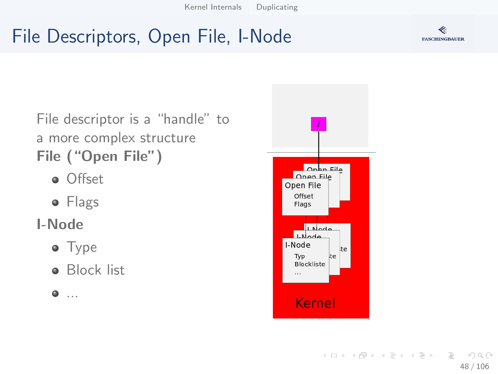# File Descriptors, Open File, I-Node



File descriptor is a "handle" to a more complex structure File ("Open File")

- **o** Offset
- Flags

#### I-Node

- Type
- **•** Block list
- $\bullet$  ...

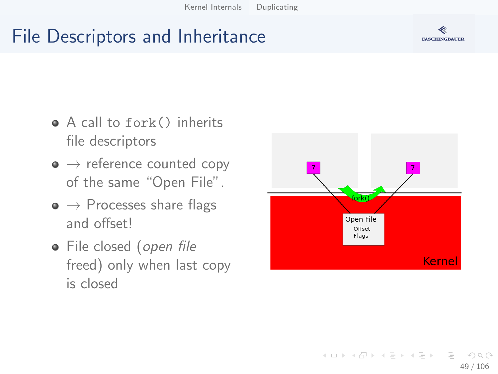## File Descriptors and Inheritance

- A call to fork() inherits file descriptors
- $\bullet \rightarrow$  reference counted copy of the same "Open File".
- $\bullet \rightarrow$  Processes share flags and offset!
- File closed (open file freed) only when last copy is closed



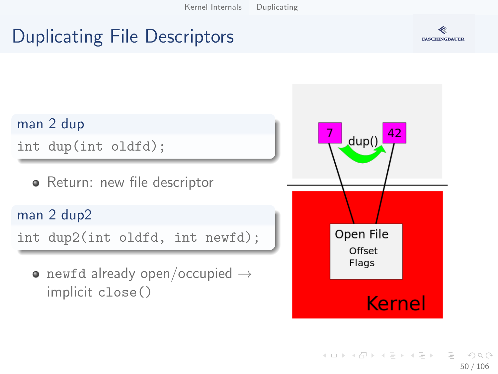# Duplicating File Descriptors



man 2 dup

int dup(int oldfd);

• Return: new file descriptor

man 2 dup2

int dup2(int oldfd, int newfd);

• newfd already open/occupied  $\rightarrow$ implicit close()

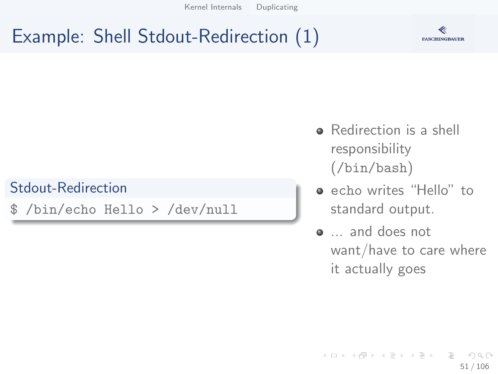# Example: Shell Stdout-Redirection (1)



#### Stdout-Redirection

\$ /bin/echo Hello > /dev/null

- Redirection is a shell responsibility (/bin/bash)
- echo writes "Hello" to standard output.
- ... and does not want/have to care where it actually goes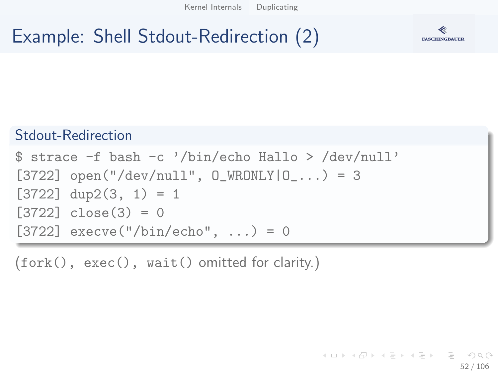# Example: Shell Stdout-Redirection (2)



#### Stdout-Redirection

```
$ strace -f bash -c '/bin/echo Hallo > /dev/null'
[3722] open("/dev/null", 0 WRONLY|0_...) = 3
[3722] dup2(3, 1) = 1[3722] close(3) = 0[3722] execve("/bin/echo", ...) = 0
```
(fork(), exec(), wait() omitted for clarity.)

K ロ ) - K (ラ ) - K (ミ ) - K (ミ ) - ( ) () 52 / 106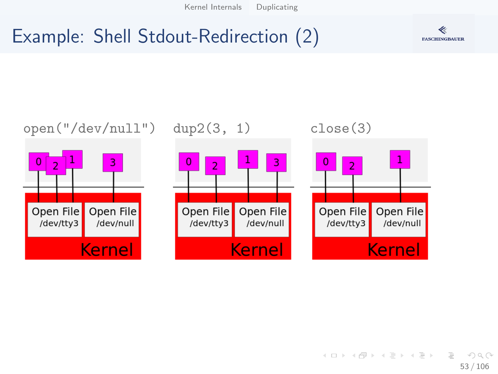## Example: Shell Stdout-Redirection (2)

 $0\sqrt{2}$ 



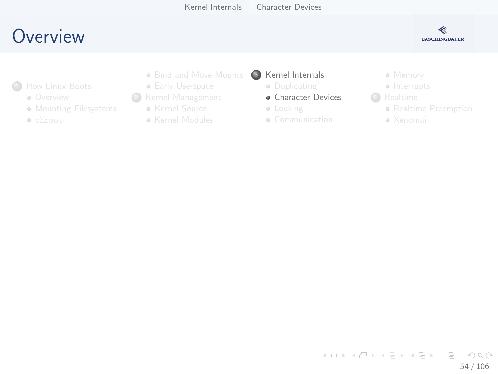## <span id="page-53-0"></span>**O[verview](#page-2-0)**



- <sup>1</sup>How Linux Boots
	- **o** Overview
	- **M[ounting Filesys](#page-14-0)tems**
	- chroot
- Bind and Move Mounts
- **Early Userspace**
- <sup>2</sup> [Kernel Man](#page-7-0)agement
	- Kernel Source
	- Kernel Modules
- <sup>3</sup> [Kernel Internals](#page-29-0)
	- **·** Duplicating
	- **•** [Character Device](#page-30-0)s
	- **·** [Locking](#page-34-0)
	- Communication
- Memory
- Interrupts
- **4** Realtime
	- Realtime Pre[emption](#page-75-0)
	- Xenomai

イロト イ部 トイヨ トイヨト  $\equiv$   $\cap$  a  $\sim$ 54 / 106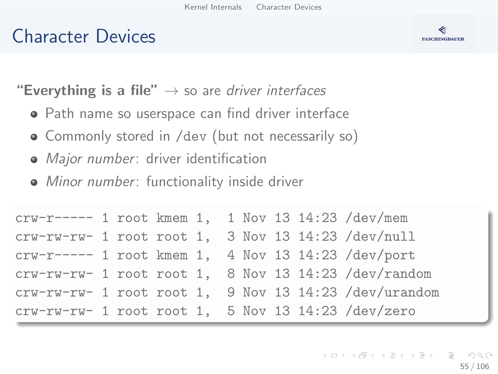## Character Devices



**"Everything is a file"**  $\rightarrow$  so are driver interfaces

- Path name so userspace can find driver interface
- Commonly stored in /dev (but not necessarily so)
- Major number: driver identification
- Minor number: functionality inside driver

| crw-r----- 1 root kmem 1, 1 Nov 13 14:23 /dev/mem   |  |  |  |  |                                                       |
|-----------------------------------------------------|--|--|--|--|-------------------------------------------------------|
| crw-rw-rw- 1 root root 1, 3 Nov 13 14:23 /dev/null  |  |  |  |  |                                                       |
| $crw-r---1$ root kmem 1, 4 Nov 13 14:23 /dev/port   |  |  |  |  |                                                       |
|                                                     |  |  |  |  | crw-rw-rw- 1 root root 1, 8 Nov 13 14:23 /dev/random  |
|                                                     |  |  |  |  | crw-rw-rw- 1 root root 1, 9 Nov 13 14:23 /dev/urandom |
| $crw-rw-rw-1$ root root 1, 5 Nov 13 14:23 /dev/zero |  |  |  |  |                                                       |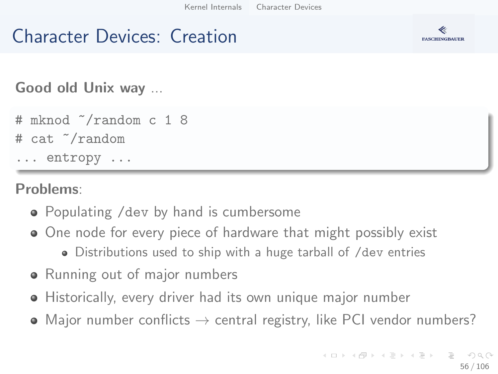### Character Devices: Creation



Good old Unix way ...

```
# mknod ~/random c 1 8
# cat ~/random
... entropy ...
```
Problems:

- Populating /dev by hand is cumbersome
- One node for every piece of hardware that might possibly exist
	- Distributions used to ship with a huge tarball of /dev entries
- Running out of major numbers
- Historically, every driver had its own unique major number
- Major number conflicts  $\rightarrow$  central registry, like PCI vendor numbers?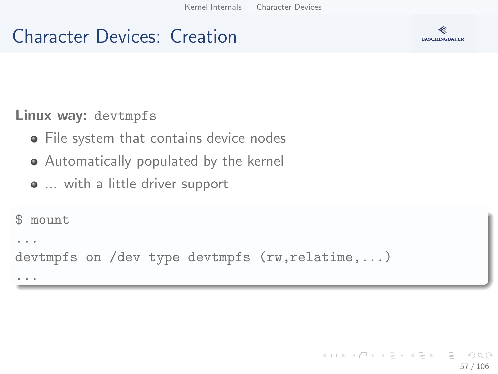### Character Devices: Creation



#### Linux way: devtmpfs

- **•** File system that contains device nodes
- Automatically populated by the kernel
- ... with a little driver support

```
$ mount
...
devtmpfs on /dev type devtmpfs (rw,relatime,...)
...
```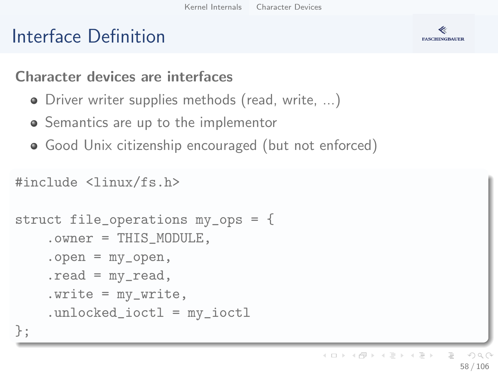# Interface Definition



#### Character devices are interfaces

- Driver writer supplies methods (read, write, ...)
- Semantics are up to the implementor
- Good Unix citizenship encouraged (but not enforced)

```
#include <linux/fs.h>
```

```
struct file_operations my_ops = {
    .owner = THIS_MODULE,
    .open = my_open,
    .read = my_read,
    . write = my\_write,
    .unlocked_ioctl = my_ioctl
};
```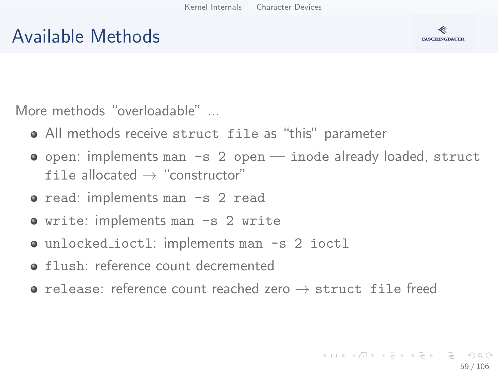## Available Methods



More methods "overloadable" ...

- All methods receive struct file as "this" parameter
- $\bullet$  open: implements man  $-s$  2 open inode already loaded, struct file allocated  $\rightarrow$  "constructor"
- read: implements man -s 2 read
- write: implements man -s 2 write
- unlocked\_ioctl: implements man -s 2 ioctl
- **o** flush: reference count decremented
- $\bullet$  release: reference count reached zero  $\rightarrow$  struct file freed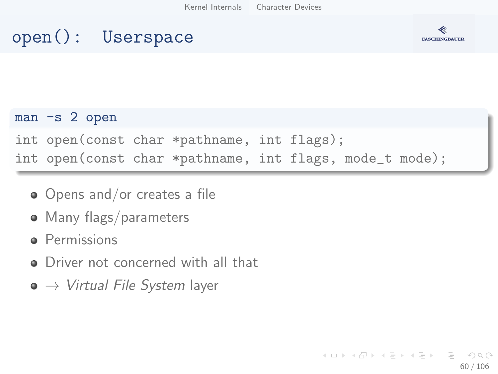## open(): Userspace



#### man -s 2 open

int open(const char \*pathname, int flags);

int open(const char \*pathname, int flags, mode\_t mode);

- Opens and/or creates a file
- Many flags/parameters
- **P**ermissions
- **O** Driver not concerned with all that
- $\bullet \rightarrow$  Virtual File System layer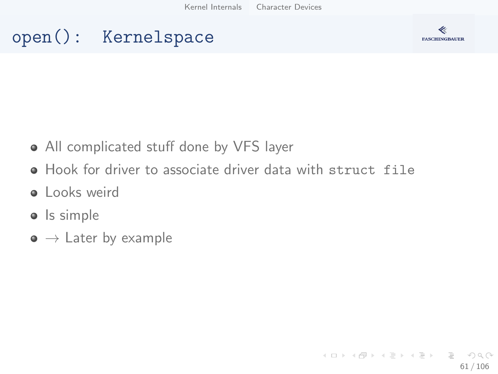## open(): Kernelspace



- All complicated stuff done by VFS layer
- Hook for driver to associate driver data with struct file
- **·** Looks weird
- Is simple
- $\bullet \rightarrow$  Later by example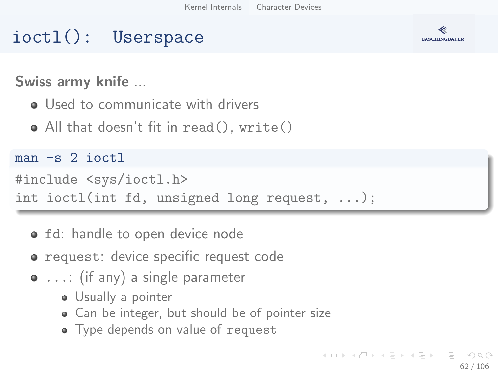### ioctl(): Userspace



Swiss army knife ...

- **.** Used to communicate with drivers
- All that doesn't fit in read(), write()

 $man -s$  2 ioctl

```
#include <sys/ioctl.h>
```
int ioctl(int fd, unsigned long request, ...);

- **o** fd: handle to open device node
- **•** request: device specific request code
- ...: (if any) a single parameter
	- Usually a pointer
	- Can be integer, but should be of pointer size
	- Type depends on value of request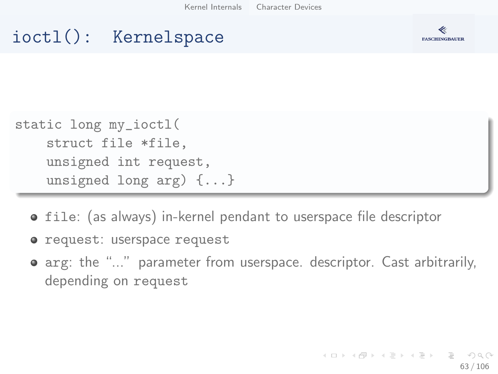## ioctl(): Kernelspace



```
static long my_ioctl(
    struct file *file,
    unsigned int request,
    unsigned long arg) {...}
```
- **o** file: (as always) in-kernel pendant to userspace file descriptor
- o request: userspace request
- arg: the "..." parameter from userspace. descriptor. Cast arbitrarily, depending on request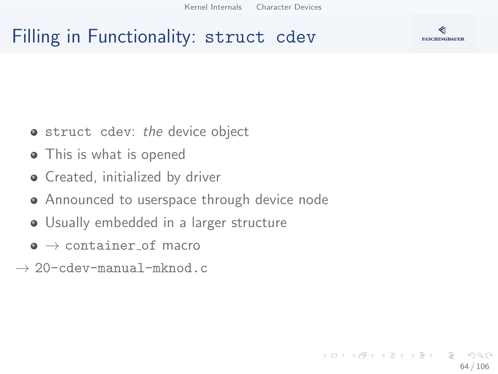## Filling in Functionality: struct cdev



- **struct** cdev: the device object
- This is what is opened
- **•** Created, initialized by driver
- Announced to userspace through device node
- Usually embedded in a larger structure
- $\bullet \rightarrow$  container of macro
- $\rightarrow$  20-cdev-manual-mknod.c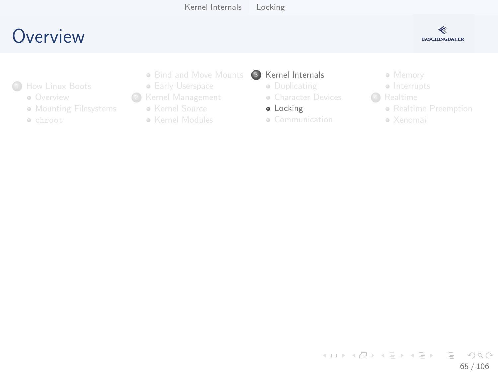## <span id="page-64-0"></span>**O[verview](#page-2-0)**



- <sup>1</sup>How Linux Boots
	- **o** Overview
	- **M[ounting Filesys](#page-14-0)tems**
	- chroot
- Bind and Move Mounts
- **Early Userspace**
- <sup>2</sup> [Kernel Man](#page-7-0)agement
	- Kernel Source
	- Kernel Modules
- **3** [Kernel Internals](#page-29-0)
	- **·** Duplicating
	- **[Character Device](#page-30-0)s**
	- **·** [Locking](#page-34-0)
	- Communication
- Memory
- Interrupts
- **4** Realtime
	- Realtime Pre[emption](#page-75-0)
	- Xenomai

イロト イ部 トイヨ トイヨト  $\equiv$   $\cap$  a  $\sim$ 65 / 106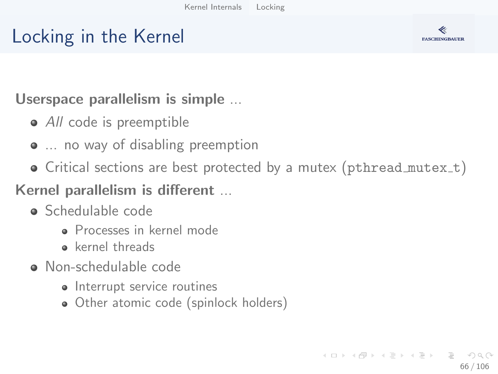# Locking in the Kernel



#### Userspace parallelism is simple ...

- All code is preemptible
- ... no way of disabling preemption
- $\bullet$  Critical sections are best protected by a mutex (pthread mutex\_t)

#### Kernel parallelism is different ...

- Schedulable code
	- Processes in kernel mode
	- kernel threads
- Non-schedulable code
	- Interrupt service routines
	- Other atomic code (spinlock holders)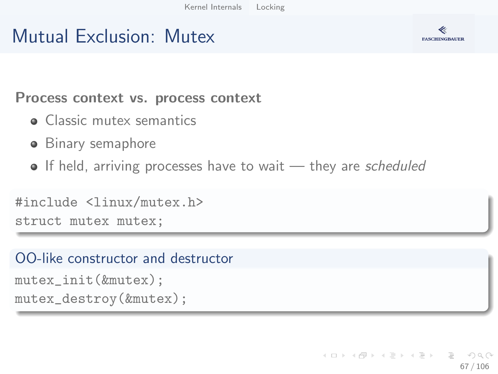## Mutual Exclusion: Mutex



Process context vs. process context

- **Classic mutex semantics**
- **•** Binary semaphore
- $\bullet$  If held, arriving processes have to wait  $-$  they are scheduled

```
#include <linux/mutex.h>
struct mutex mutex;
```
#### OO-like constructor and destructor

```
mutex_init(&mutex);
mutex_destroy(&mutex);
```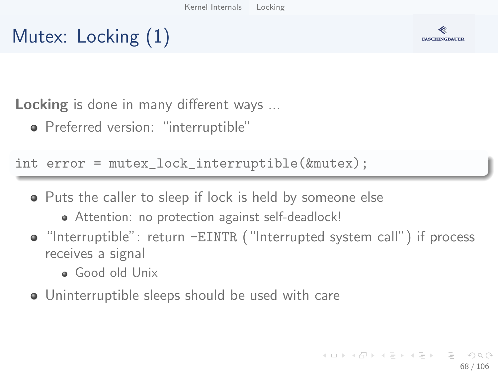



Locking is done in many different ways ...

Preferred version: "interruptible"

int error = mutex\_lock\_interruptible(&mutex);

- Puts the caller to sleep if lock is held by someone else
	- Attention: no protection against self-deadlock!
- "Interruptible": return -EINTR ("Interrupted system call") if process receives a signal
	- Good old Unix
- Uninterruptible sleeps should be used with care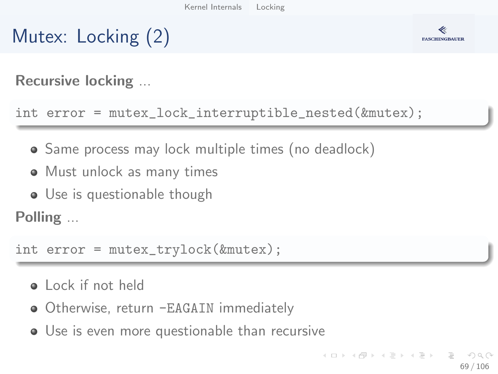



Recursive locking ...

int error = mutex\_lock\_interruptible\_nested(&mutex);

- Same process may lock multiple times (no deadlock)
- Must unlock as many times
- Use is questionable though

Polling ...

int error = mutex\_trylock(&mutex);

- **a** Lock if not held
- Otherwise, return -EAGAIN immediately
- Use is even more questionable than recursive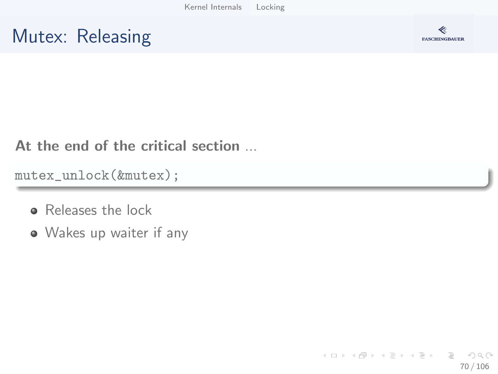## Mutex: Releasing



At the end of the critical section ...

mutex\_unlock(&mutex);

- **B** Releases the lock
- Wakes up waiter if any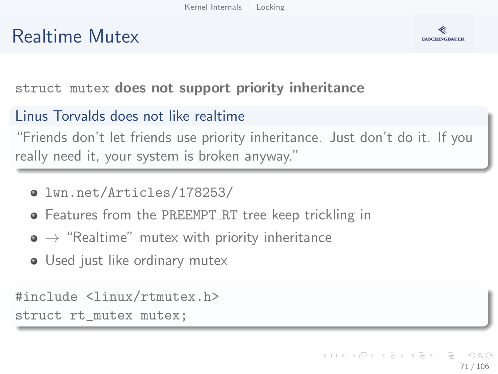## Realtime Mutex



struct mutex does not support priority inheritance

#### Linus Torvalds does not like realtime

"Friends don't let friends use priority inheritance. Just don't do it. If you really need it, your system is broken anyway."

- [lwn.net/Articles/178253/](https://lwn.net/Articles/178253/)
- **•** Features from the PREEMPT\_RT tree keep trickling in
- $\bullet \rightarrow$  "Realtime" mutex with priority inheritance
- Used just like ordinary mutex

#include <linux/rtmutex.h> struct rt\_mutex mutex;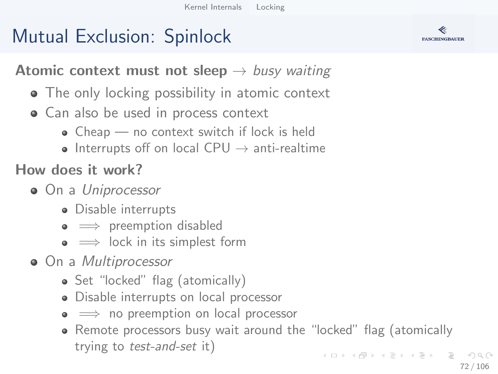# Mutual Exclusion: Spinlock



**Atomic context must not sleep**  $\rightarrow$  busy waiting

- The only locking possibility in atomic context
- Can also be used in process context
	- Cheap no context switch if lock is held
	- Interrupts off on local CPU  $\rightarrow$  anti-realtime

How does it work?

- On a Uniprocessor
	- Disable interrupts
	- $\bullet \implies$  preemption disabled
	- $\bullet \implies$  lock in its simplest form
- On a *Multiprocessor* 
	- Set "locked" flag (atomically)
	- Disable interrupts on local processor
	- $\bullet \implies$  no preemption on local processor
	- Remote processors busy wait around the "locked" flag (atomically trying to test-and-set it)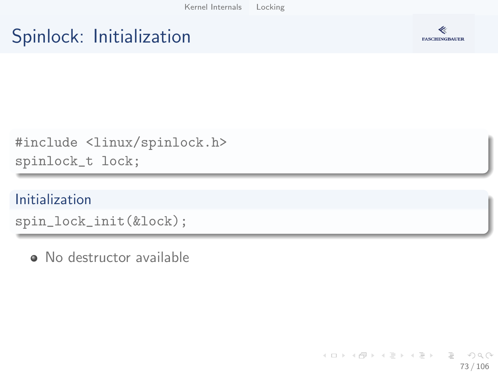### Spinlock: Initialization



#include <linux/spinlock.h> spinlock\_t lock;

#### Initialization

spin\_lock\_init(&lock);

· No destructor available

イロト イ部 トイミト イミトー  $\equiv$  $\Omega$ 73 / 106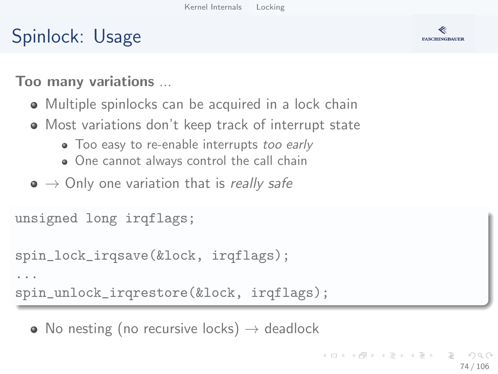### Spinlock: Usage



Too many variations ...

- Multiple spinlocks can be acquired in a lock chain
- Most variations don't keep track of interrupt state
	- Too easy to re-enable interrupts too early
	- One cannot always control the call chain
- $\bullet \to$  Only one variation that is really safe

```
unsigned long irqflags;
```
...

```
spin_lock_irqsave(&lock, irqflags);
```
spin\_unlock\_irqrestore(&lock, irqflags);

• No nesting (no recursive locks)  $\rightarrow$  deadlock

イロト イ押 トイヨト イヨト ニヨ 74 / 106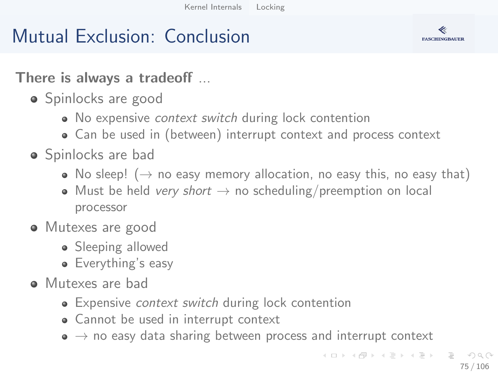### Mutual Exclusion: Conclusion



There is always a tradeoff ...

- Spinlocks are good
	- No expensive *context switch* during lock contention
	- Can be used in (between) interrupt context and process context
- Spinlocks are bad
	- No sleep! ( $\rightarrow$  no easy memory allocation, no easy this, no easy that)
	- Must be held very short  $\rightarrow$  no scheduling/preemption on local processor
- Mutexes are good
	- Sleeping allowed
	- Everything's easy
- Mutexes are bad
	- Expensive *context switch* during lock contention
	- Cannot be used in interrupt context
	- $\bullet \rightarrow$  no easy data sharing between process and interrupt context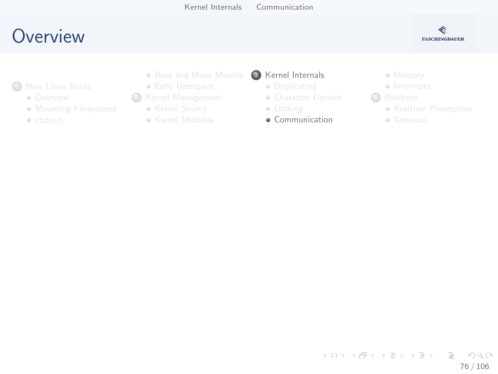### <span id="page-75-0"></span>**O[verview](#page-2-0)**



- <sup>1</sup>How Linux Boots
	- **o** Overview
	- **M[ounting Filesys](#page-14-0)tems**
	- chroot
- Bind and Move Mounts
- **Early Userspace**
- <sup>2</sup> [Kernel Man](#page-7-0)agement
	- Kernel Source
	- Kernel Modules
- **3** [Kernel Internals](#page-29-0)
	- **·** Duplicating
	- **[Character Device](#page-30-0)s**
	- [Locking](#page-34-0)
	- **•** Communication
- Memory
- Interrupts
- **4** Realtime
	- Realtime Pre[emption](#page-75-0)
	- Xenomai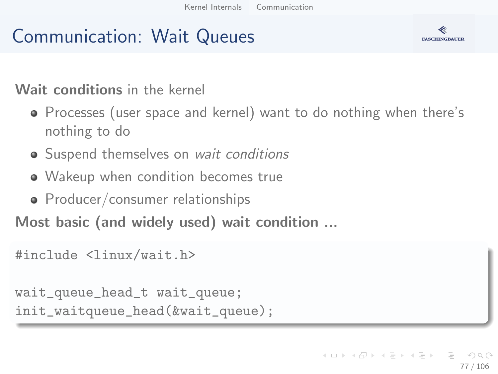### Communication: Wait Queues

#### Wait conditions in the kernel

- Processes (user space and kernel) want to do nothing when there's nothing to do
- Suspend themselves on wait conditions
- Wakeup when condition becomes true
- Producer/consumer relationships

Most basic (and widely used) wait condition ...

```
#include <linux/wait.h>
```
wait\_queue\_head\_t wait\_queue; init\_waitqueue\_head(&wait\_queue);

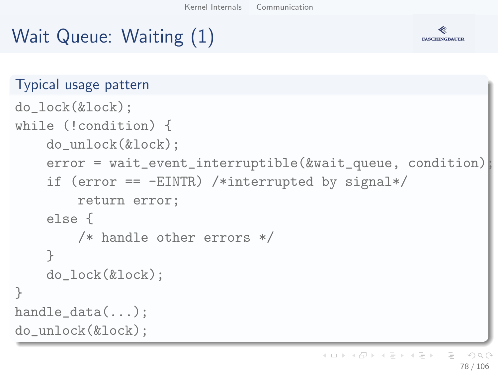# Wait Queue: Waiting (1)

}



```
Typical usage pattern
do_lock(&lock);
while (!condition) {
    do_unlock(&lock);
    error = wait_event_interruptible(&wait_queue, condition)
    if (error == -EINTR) /*interrupted by signal*/
        return error;
    else {
        /* handle other errors */
    }
    do_lock(&lock);
handle data(...):do_unlock(&lock);
```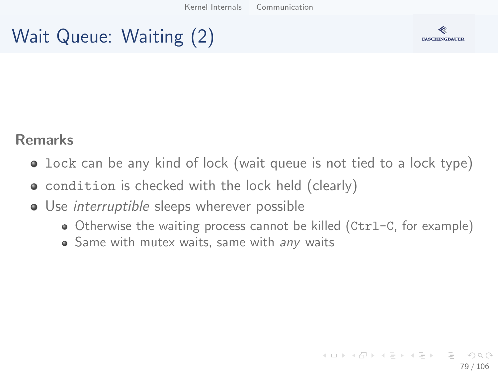### Wait Queue: Waiting (2)



#### Remarks

- lock can be any kind of lock (wait queue is not tied to a lock type)
- condition is checked with the lock held (clearly)
- Use *interruptible* sleeps wherever possible
	- Otherwise the waiting process cannot be killed (Ctrl-C, for example)
	- Same with mutex waits, same with any waits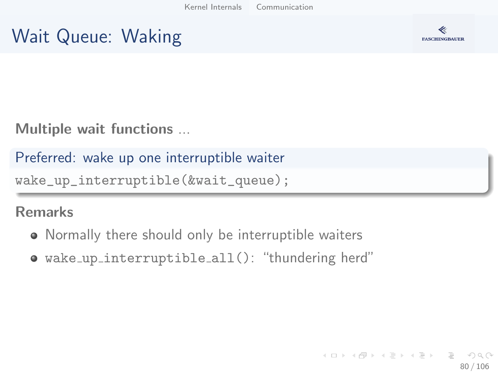### Wait Queue: Waking



Multiple wait functions ...

Preferred: wake up one interruptible waiter

```
wake_up_interruptible(&wait_queue);
```
#### Remarks

- Normally there should only be interruptible waiters
- wake up interruptible all(): "thundering herd"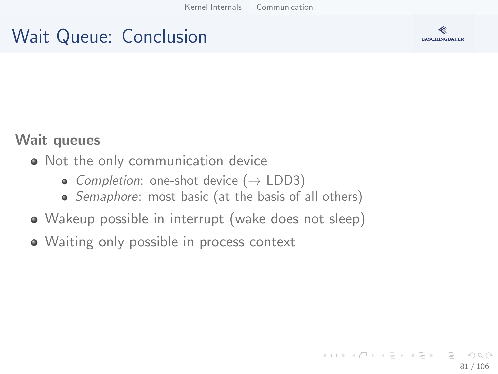### Wait Queue: Conclusion



#### Wait queues

- Not the only communication device
	- Completion: one-shot device  $(\rightarrow$  LDD3)
	- Semaphore: most basic (at the basis of all others)
- Wakeup possible in interrupt (wake does not sleep)
- Waiting only possible in process context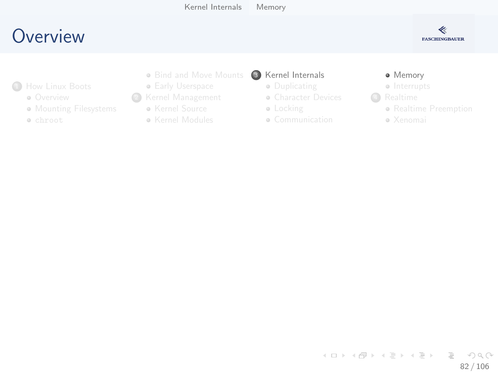### <span id="page-81-0"></span>**O[verview](#page-2-0)**



- <sup>1</sup>How Linux Boots
	- **o** Overview
	- **M[ounting Filesys](#page-14-0)tems**
	- chroot
- Bind and Move Mounts
- **Early Userspace**
- <sup>2</sup> [Kernel Man](#page-7-0)agement
	- Kernel Source
	- Kernel Modules
- <sup>3</sup> [Kernel Internals](#page-29-0)
	- **·** Duplicating
	- **[Character Device](#page-30-0)s**
	- **·** [Locking](#page-34-0)
	- Communication

#### **·** Memory

- **a** Interrupts
- **4** Realtime
	- Realtime Pre[emption](#page-75-0)
	- Xenomai

イロト イ部 トイヨ トイヨト  $\equiv$  $\eta$ a 82 / 106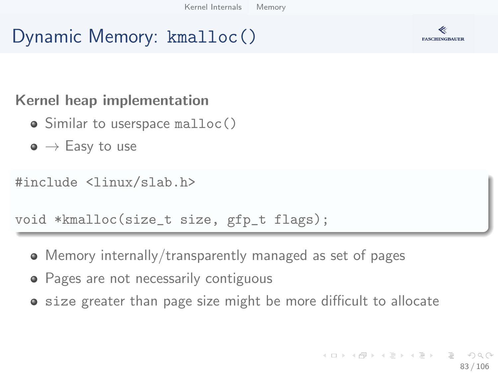### Dynamic Memory: kmalloc()



- Similar to userspace malloc()
- $\bullet \to$  Easy to use

#include <linux/slab.h>

void \*kmalloc(size\_t size, gfp\_t flags);

- Memory internally/transparently managed as set of pages
- Pages are not necessarily contiguous
- **•** size greater than page size might be more difficult to allocate

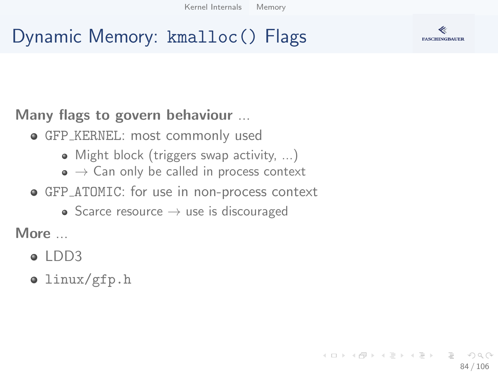# Dynamic Memory: kmalloc() Flags



- **GFP\_KERNEL: most commonly used** 
	- Might block (triggers swap activity, ...)
	- $\bullet \to$  Can only be called in process context
- GFP ATOMIC: for use in non-process context
	- Scarce resource  $\rightarrow$  use is discouraged

More ...

- $\bullet$  [LDD3](http://www.makelinux.net/ldd3/chp-8-sect-1/)
- linux/gfp.h

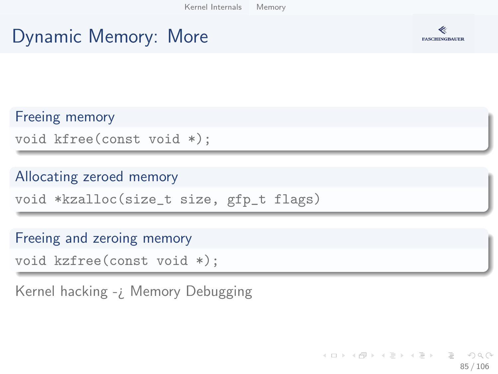### Dynamic Memory: More



Freeing memory void kfree(const void \*);

#### Allocating zeroed memory

void \*kzalloc(size\_t size, gfp\_t flags)

#### Freeing and zeroing memory

void kzfree(const void \*);

Kernel hacking -¿ Memory Debugging

K ロ ) - K (ラ ) - K (ミ ) - K (ミ ) - ( ) ()  $\Omega$ 85 / 106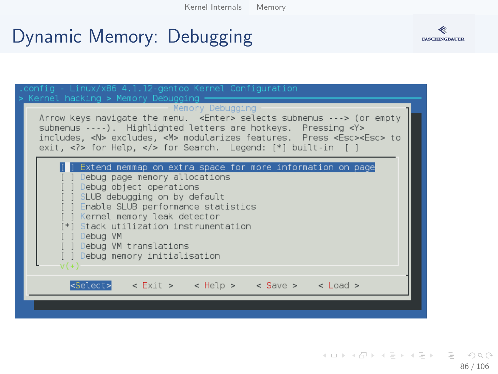### Dynamic Memory: Debugging





イロト イ押 トイヨ トイヨ トー  $\equiv$   $\curvearrowleft$  a  $\curvearrowright$ 86 / 106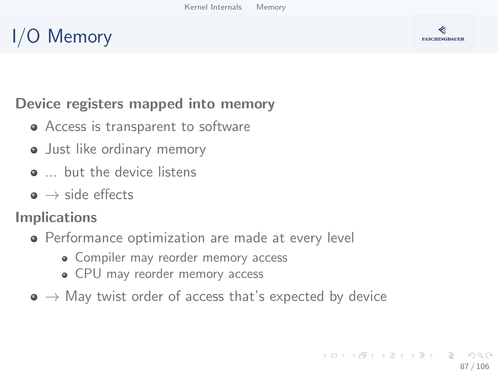# I/O Memory



### Device registers mapped into memory

- Access is transparent to software
- Just like ordinary memory
- **....** but the device listens
- $\bullet \rightarrow$  side effects

### Implications

- **•** Performance optimization are made at every level
	- Compiler may reorder memory access
	- CPU may reorder memory access
- $\bullet \rightarrow$  May twist order of access that's expected by device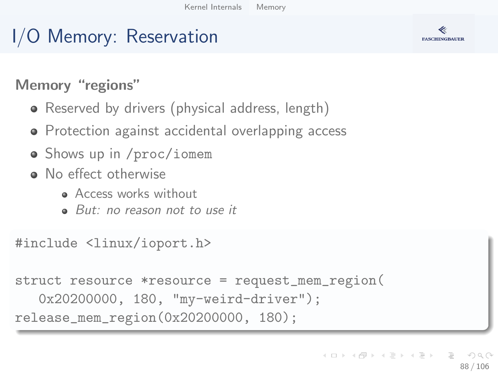### I/O Memory: Reservation

### Memory "regions"

- Reserved by drivers (physical address, length)
- Protection against accidental overlapping access
- Shows up in /proc/iomem
- No effect otherwise
	- **Access works without**
	- But: no reason not to use it

#include <linux/ioport.h>

```
struct resource *resource = request_mem_region(
   0x20200000, 180, "my-weird-driver");
release_mem_region(0x20200000, 180);
```


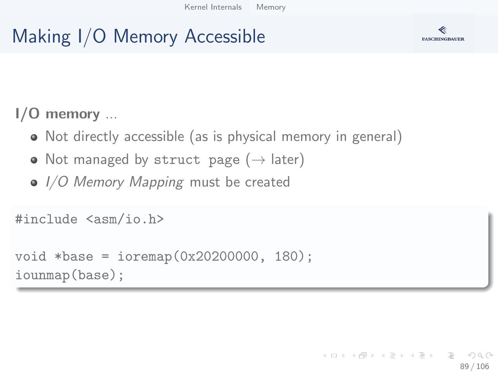# Making I/O Memory Accessible



### I/O memory ...

- Not directly accessible (as is physical memory in general)
- Not managed by struct page  $(\rightarrow)$  later)
- $\bullet$  I/O Memory Mapping must be created

```
#include <asm/io.h>
```

```
void *base = ioremap(0x20200000, 180);
iounmap(base);
```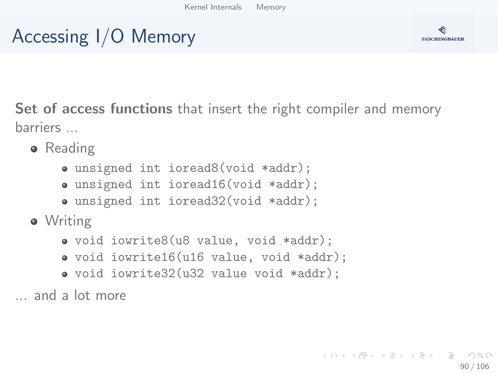# Accessing I/O Memory



Set of access functions that insert the right compiler and memory barriers ...

- **•** Reading
	- unsigned int ioread8(void \*addr);
	- unsigned int ioread16(void \*addr);
	- unsigned int ioread32(void \*addr);
- **•** Writing
	- void iowrite8(u8 value, void \*addr);
	- void iowrite16(u16 value, void \*addr);
	- void iowrite32(u32 value void \*addr);

... and a lot more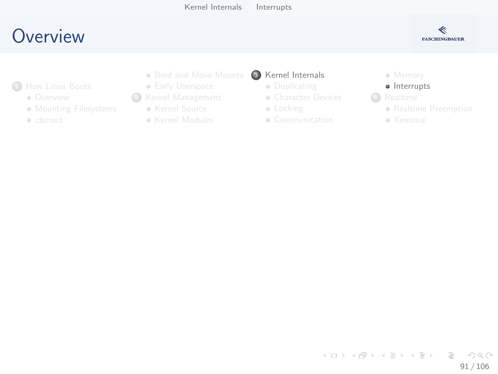### <span id="page-90-0"></span>**O[verview](#page-2-0)**



- **1**How Linux Boots
	- **o** Overview
	- **M[ounting Filesys](#page-14-0)tems**
	- chroot
- Bind and Move Mounts
- **Early Userspace**
- <sup>2</sup> [Kernel Man](#page-7-0)agement
	- Kernel Source
	- Kernel Modules
- <sup>3</sup> [Kernel Internals](#page-29-0)
	- **·** Duplicating
	- **[Character Device](#page-30-0)s**
	- **·** [Locking](#page-34-0)
	- Communication

Memory

#### · Interrupts

- **4** Realtime
	- Realtime Pre[emption](#page-75-0)
	- Xenomai

イロト イ部 トイヨ トイヨト  $\equiv$   $\cap$  a  $\sim$ 91 / 106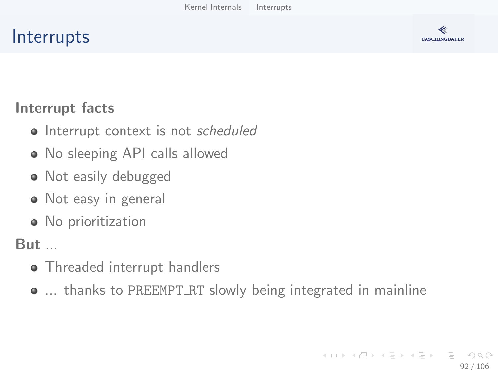### **Interrupts**



#### Interrupt facts

- Interrupt context is not scheduled
- No sleeping API calls allowed
- Not easily debugged
- Not easy in general
- No prioritization

But ...

- Threaded interrupt handlers
- ... thanks to PREEMPT RT slowly being integrated in mainline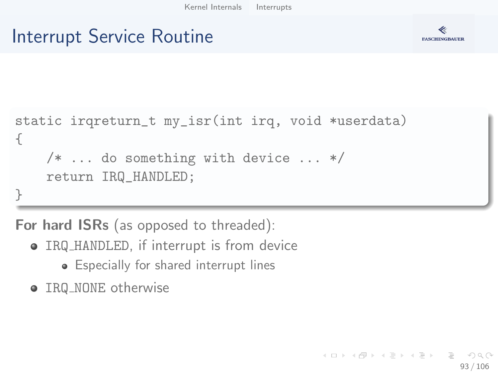### Interrupt Service Routine



```
static irqreturn_t my_isr(int irq, void *userdata)
{
    /* ... do something with device ... */
    return IRQ_HANDLED;
}
```
For hard ISRs (as opposed to threaded):

- IRQ HANDLED, if interrupt is from device
	- Especially for shared interrupt lines
- IRQ\_NONE otherwise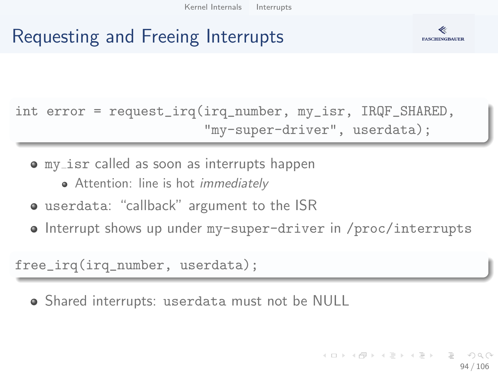### Requesting and Freeing Interrupts



int error = request\_irq(irq\_number, my\_isr, IRQF\_SHARED, "my-super-driver", userdata);

my isr called as soon as interrupts happen

- Attention: line is hot *immediately*
- userdata: "callback" argument to the ISR
- Interrupt shows up under my-super-driver in /proc/interrupts

free\_irq(irq\_number, userdata);

Shared interrupts: userdata must not be NULL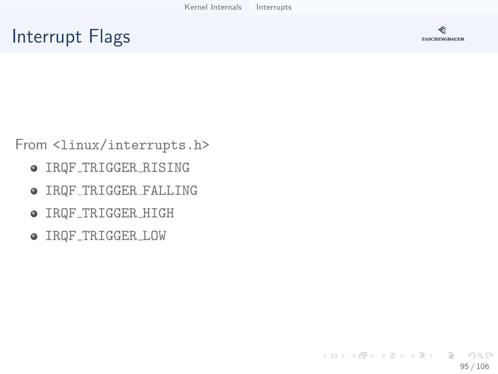### Interrupt Flags



From <linux/interrupts.h>

- IRQF TRIGGER RISING
- IRQF TRIGGER FALLING
- $\bullet$  IRQF\_TRIGGER\_HIGH
- IRQF TRIGGER LOW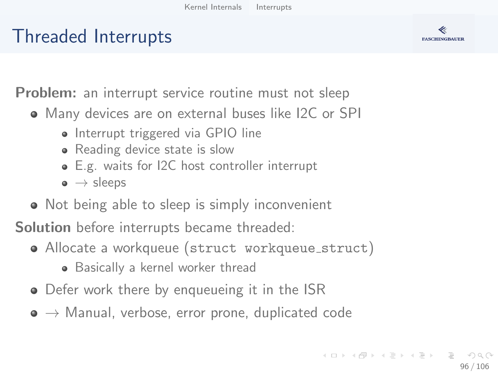### Threaded Interrupts



**Problem:** an interrupt service routine must not sleep

- Many devices are on external buses like I2C or SPI
	- Interrupt triggered via GPIO line
	- Reading device state is slow
	- E.g. waits for I2C host controller interrupt
	- $\bullet \rightarrow$  sleeps
- Not being able to sleep is simply inconvenient

Solution before interrupts became threaded:

- Allocate a workqueue (struct workqueue struct)
	- Basically a kernel worker thread
- Defer work there by enqueueing it in the ISR
- $\bullet \rightarrow$  Manual, verbose, error prone, duplicated code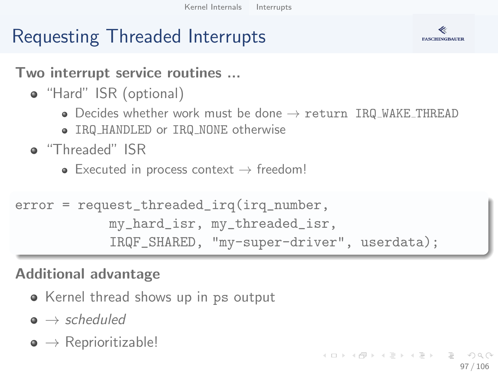### Requesting Threaded Interrupts



Two interrupt service routines ...

- "Hard" ISR (optional)
	- $\bullet$  Decides whether work must be done  $\rightarrow$  return IRQ WAKE THREAD
	- IRQ HANDLED or IRQ NONE otherwise
- "Threaded" ISR
	- Executed in process context  $\rightarrow$  freedom!

```
error = request_threaded_irq(irq_number,
            my_hard_isr, my_threaded_isr,
            IRQF_SHARED, "my-super-driver", userdata);
```
### Additional advantage

- Kernel thread shows up in ps output
- $\bullet \rightarrow$  scheduled
- $\bullet \rightarrow$  Reprioritizable!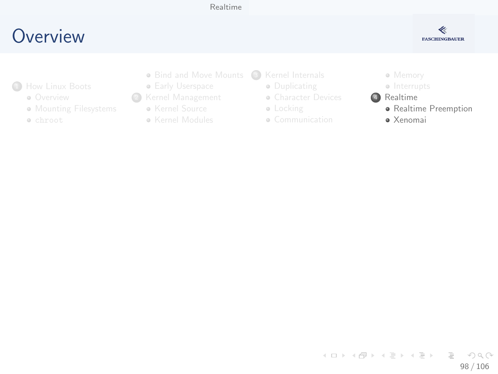#### [Realtime](#page-97-0)

### <span id="page-97-0"></span>**O[verview](#page-2-0)**



- **1**How Linux Boots
	- **o** Overview
	- **M[ounting Filesys](#page-14-0)tems**
	- chroot
- Bind and Move Mounts (3) [Kernel Internals](#page-29-0)
- **Early Userspace**
- <sup>2</sup> [Kernel Man](#page-7-0)agement
	- Kernel Source
	- **Kernel Modules**
- - **·** Duplicating
	- **[Character Device](#page-30-0)s**
	- **·** [Locking](#page-34-0)
	- Communication

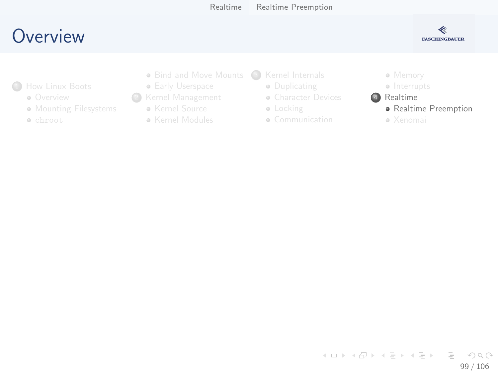### <span id="page-98-0"></span>**O[verview](#page-2-0)**



- **1**How Linux Boots
	- **o** Overview
	- **M[ounting Filesys](#page-14-0)tems**
	- chroot
- Bind and Move Mounts (3) [Kernel Internals](#page-29-0)
- **Early Userspace**
- <sup>2</sup> [Kernel Man](#page-7-0)agement
	- Kernel Source
	- **Kernel Modules**
- - **·** Duplicating
	- **[Character Device](#page-30-0)s**
	- **·** [Locking](#page-34-0)
	- Communication

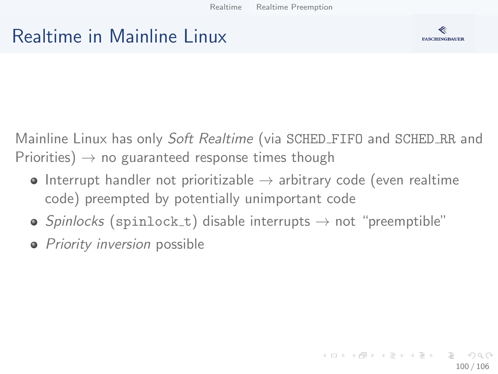### Realtime in Mainline Linux



Mainline Linux has only Soft Realtime (via SCHED\_FIFO and SCHED\_RR and Priorities)  $\rightarrow$  no guaranteed response times though

- Interrupt handler not prioritizable  $\rightarrow$  arbitrary code (even realtime code) preempted by potentially unimportant code
- Spinlocks (spinlock\_t) disable interrupts  $\rightarrow$  not "preemptible"
- Priority inversion possible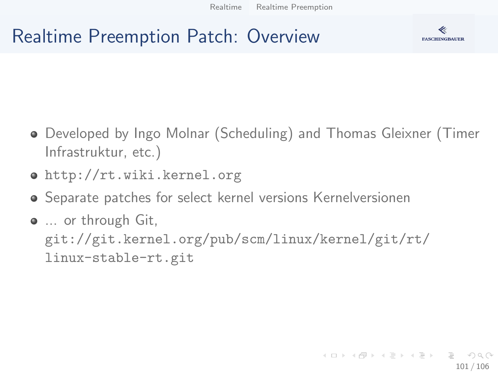### Realtime Preemption Patch: Overview



- Developed by Ingo Molnar (Scheduling) and Thomas Gleixner (Timer Infrastruktur, etc.)
- http://rt.wiki.kernel.org
- Separate patches for select kernel versions Kernelversionen
- $\bullet$  ... or through Git, git://git.kernel.org/pub/scm/linux/kernel/git/rt/ linux-stable-rt.git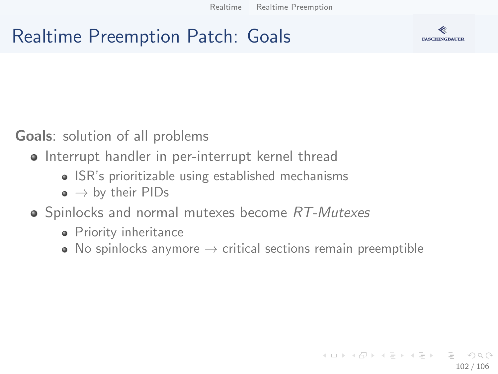### Realtime Preemption Patch: Goals



Goals: solution of all problems

- Interrupt handler in per-interrupt kernel thread
	- ISR's prioritizable using established mechanisms
	- $\bullet \rightarrow$  by their PIDs
- Spinlocks and normal mutexes become RT-Mutexes
	- Priority inheritance
	- No spinlocks anymore  $\rightarrow$  critical sections remain preemptible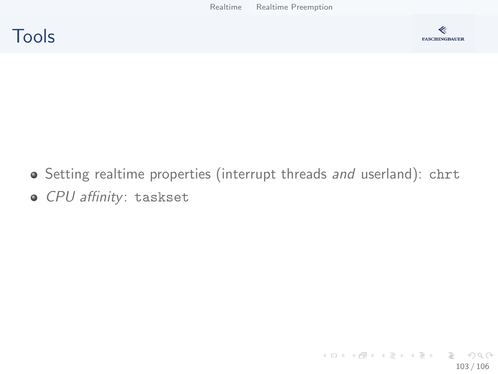



- Setting realtime properties (interrupt threads and userland): chrt
- o CPU affinity: taskset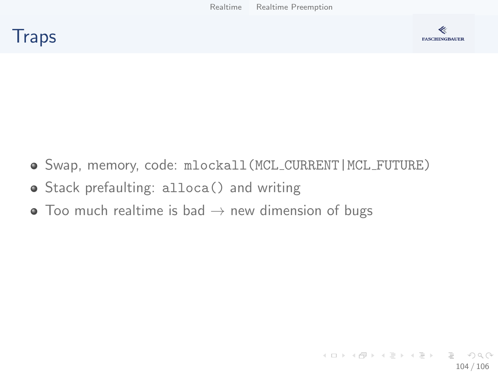



- Swap, memory, code: mlockall(MCL CURRENT|MCL FUTURE)
- Stack prefaulting: alloca() and writing
- $\bullet$  Too much realtime is bad  $\rightarrow$  new dimension of bugs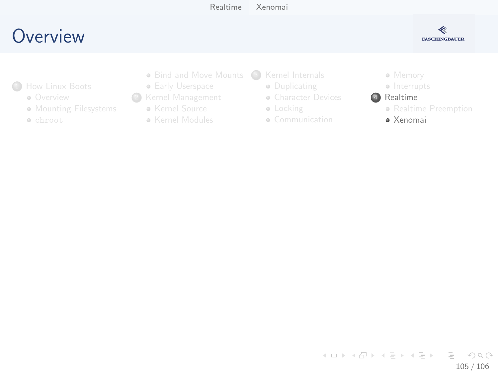### <span id="page-104-0"></span>**O[verview](#page-2-0)**



- <sup>1</sup>How Linux Boots
	- **o** Overview
	- **M[ounting Filesys](#page-14-0)tems**
	- chroot
- Bind and Move Mounts (3) [Kernel Internals](#page-29-0)
- **Early Userspace**
- <sup>2</sup> [Kernel Man](#page-7-0)agement
	- Kernel Source
	- **Kernel Modules**
- - **·** Duplicating
	- **[Character Device](#page-30-0)s**
	- **·** [Locking](#page-34-0)
	- Communication



- Interrupts
- 4 Realtime
	- Realtime Pre[emption](#page-75-0)
	- Xenomai

イロト イ部 トイヨ トイヨト  $\equiv$   $\cap$  a  $\sim$ 105 / 106